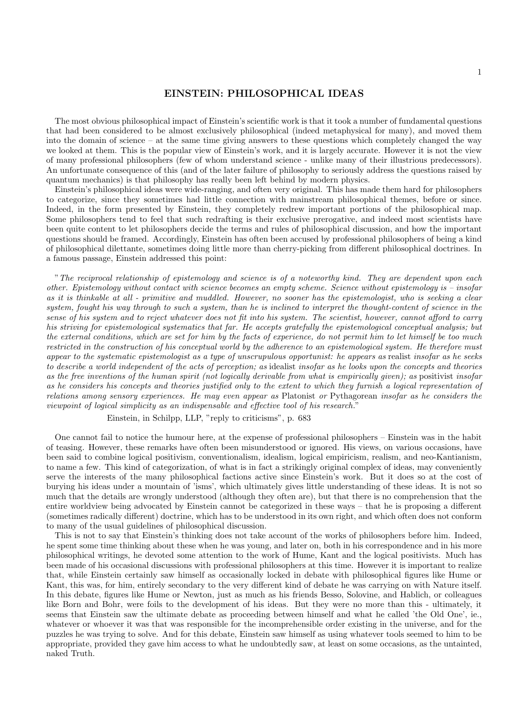## EINSTEIN: PHILOSOPHICAL IDEAS

The most obvious philosophical impact of Einstein's scientific work is that it took a number of fundamental questions that had been considered to be almost exclusively philosophical (indeed metaphysical for many), and moved them into the domain of science – at the same time giving answers to these questions which completely changed the way we looked at them. This is the popular view of Einstein's work, and it is largely accurate. However it is not the view of many professional philosophers (few of whom understand science - unlike many of their illustrious predecessors). An unfortunate consequence of this (and of the later failure of philosophy to seriously address the questions raised by quantum mechanics) is that philosophy has really been left behind by modern physics.

Einstein's philosophical ideas were wide-ranging, and often very original. This has made them hard for philosophers to categorize, since they sometimes had little connection with mainstream philosophical themes, before or since. Indeed, in the form presented by Einstein, they completely redrew important portions of the philosophical map. Some philosophers tend to feel that such redrafting is their exclusive prerogative, and indeed most scientists have been quite content to let philosophers decide the terms and rules of philosophical discussion, and how the important questions should be framed. Accordingly, Einstein has often been accused by professional philosophers of being a kind of philosophical dilettante, sometimes doing little more than cherry-picking from different philosophical doctrines. In a famous passage, Einstein addressed this point:

"The reciprocal relationship of epistemology and science is of a noteworthy kind. They are dependent upon each other. Epistemology without contact with science becomes an empty scheme. Science without epistemology is – insofar as it is thinkable at all - primitive and muddled. However, no sooner has the epistemologist, who is seeking a clear system, fought his way through to such a system, than he is inclined to interpret the thought-content of science in the sense of his system and to reject whatever does not fit into his system. The scientist, however, cannot afford to carry his striving for epistemological systematics that far. He accepts gratefully the epistemological conceptual analysis; but the external conditions, which are set for him by the facts of experience, do not permit him to let himself be too much restricted in the construction of his conceptual world by the adherence to an epistemological system. He therefore must appear to the systematic epistemologist as a type of unscrupulous opportunist: he appears as realist insofar as he seeks to describe a world independent of the acts of perception; as idealist insofar as he looks upon the concepts and theories as the free inventions of the human spirit (not logically derivable from what is empirically given); as positivist insofar as he considers his concepts and theories justified only to the extent to which they furnish a logical representation of relations among sensory experiences. He may even appear as Platonist or Pythagorean insofar as he considers the viewpoint of logical simplicity as an indispensable and effective tool of his research."

Einstein, in Schilpp, LLP, "reply to criticisms", p. 683

One cannot fail to notice the humour here, at the expense of professional philosophers – Einstein was in the habit of teasing. However, these remarks have often been misunderstood or ignored. His views, on various occasions, have been said to combine logical positivism, conventionalism, idealism, logical empiricism, realism, and neo-Kantianism, to name a few. This kind of categorization, of what is in fact a strikingly original complex of ideas, may conveniently serve the interests of the many philosophical factions active since Einstein's work. But it does so at the cost of burying his ideas under a mountain of 'isms', which ultimately gives little understanding of these ideas. It is not so much that the details are wrongly understood (although they often are), but that there is no comprehension that the entire worldview being advocated by Einstein cannot be categorized in these ways – that he is proposing a different (sometimes radically different) doctrine, which has to be understood in its own right, and which often does not conform to many of the usual guidelines of philosophical discussion.

This is not to say that Einstein's thinking does not take account of the works of philosophers before him. Indeed, he spent some time thinking about these when he was young, and later on, both in his correspondence and in his more philosophical writings, he devoted some attention to the work of Hume, Kant and the logical positivists. Much has been made of his occasional discussions with professional philosophers at this time. However it is important to realize that, while Einstein certainly saw himself as occasionally locked in debate with philosophical figures like Hume or Kant, this was, for him, entirely secondary to the very different kind of debate he was carrying on with Nature itself. In this debate, figures like Hume or Newton, just as much as his friends Besso, Solovine, and Hablich, or colleagues like Born and Bohr, were foils to the development of his ideas. But they were no more than this - ultimately, it seems that Einstein saw the ultimate debate as proceeding between himself and what he called 'the Old One', ie., whatever or whoever it was that was responsible for the incomprehensible order existing in the universe, and for the puzzles he was trying to solve. And for this debate, Einstein saw himself as using whatever tools seemed to him to be appropriate, provided they gave him access to what he undoubtedly saw, at least on some occasions, as the untainted, naked Truth.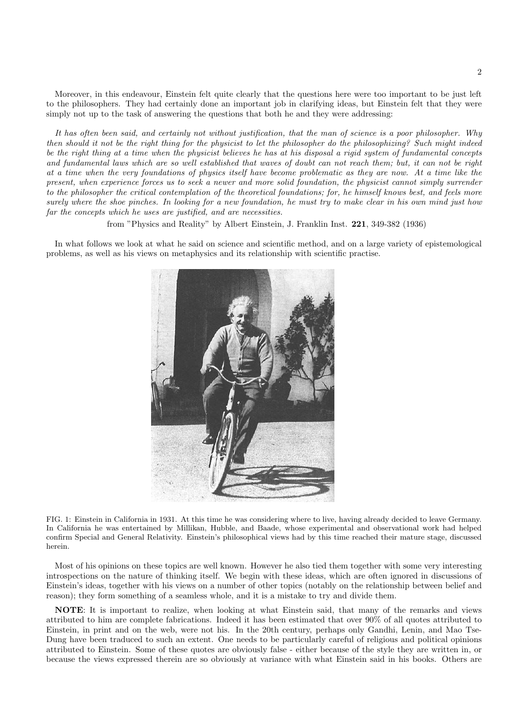Moreover, in this endeavour, Einstein felt quite clearly that the questions here were too important to be just left to the philosophers. They had certainly done an important job in clarifying ideas, but Einstein felt that they were simply not up to the task of answering the questions that both he and they were addressing:

It has often been said, and certainly not without justification, that the man of science is a poor philosopher. Why then should it not be the right thing for the physicist to let the philosopher do the philosophizing? Such might indeed be the right thing at a time when the physicist believes he has at his disposal a rigid system of fundamental concepts and fundamental laws which are so well established that waves of doubt can not reach them; but, it can not be right at a time when the very foundations of physics itself have become problematic as they are now. At a time like the present, when experience forces us to seek a newer and more solid foundation, the physicist cannot simply surrender to the philosopher the critical contemplation of the theoretical foundations; for, he himself knows best, and feels more surely where the shoe pinches. In looking for a new foundation, he must try to make clear in his own mind just how far the concepts which he uses are justified, and are necessities.

from "Physics and Reality" by Albert Einstein, J. Franklin Inst. 221, 349-382 (1936)

In what follows we look at what he said on science and scientific method, and on a large variety of epistemological problems, as well as his views on metaphysics and its relationship with scientific practise.



FIG. 1: Einstein in California in 1931. At this time he was considering where to live, having already decided to leave Germany. In California he was entertained by Millikan, Hubble, and Baade, whose experimental and observational work had helped confirm Special and General Relativity. Einstein's philosophical views had by this time reached their mature stage, discussed herein.

Most of his opinions on these topics are well known. However he also tied them together with some very interesting introspections on the nature of thinking itself. We begin with these ideas, which are often ignored in discussions of Einstein's ideas, together with his views on a number of other topics (notably on the relationship between belief and reason); they form something of a seamless whole, and it is a mistake to try and divide them.

NOTE: It is important to realize, when looking at what Einstein said, that many of the remarks and views attributed to him are complete fabrications. Indeed it has been estimated that over 90% of all quotes attributed to Einstein, in print and on the web, were not his. In the 20th century, perhaps only Gandhi, Lenin, and Mao Tse-Dung have been traduced to such an extent. One needs to be particularly careful of religious and political opinions attributed to Einstein. Some of these quotes are obviously false - either because of the style they are written in, or because the views expressed therein are so obviously at variance with what Einstein said in his books. Others are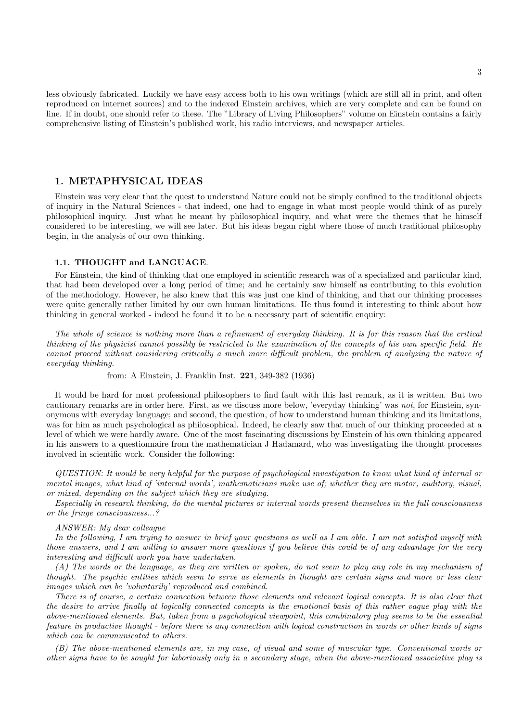less obviously fabricated. Luckily we have easy access both to his own writings (which are still all in print, and often reproduced on internet sources) and to the indexed Einstein archives, which are very complete and can be found on line. If in doubt, one should refer to these. The "Library of Living Philosophers" volume on Einstein contains a fairly comprehensive listing of Einstein's published work, his radio interviews, and newspaper articles.

# 1. METAPHYSICAL IDEAS

Einstein was very clear that the quest to understand Nature could not be simply confined to the traditional objects of inquiry in the Natural Sciences - that indeed, one had to engage in what most people would think of as purely philosophical inquiry. Just what he meant by philosophical inquiry, and what were the themes that he himself considered to be interesting, we will see later. But his ideas began right where those of much traditional philosophy begin, in the analysis of our own thinking.

#### 1.1. THOUGHT and LANGUAGE.

For Einstein, the kind of thinking that one employed in scientific research was of a specialized and particular kind, that had been developed over a long period of time; and he certainly saw himself as contributing to this evolution of the methodology. However, he also knew that this was just one kind of thinking, and that our thinking processes were quite generally rather limited by our own human limitations. He thus found it interesting to think about how thinking in general worked - indeed he found it to be a necessary part of scientific enquiry:

The whole of science is nothing more than a refinement of everyday thinking. It is for this reason that the critical thinking of the physicist cannot possibly be restricted to the examination of the concepts of his own specific field. He cannot proceed without considering critically a much more difficult problem, the problem of analyzing the nature of everyday thinking.

#### from: A Einstein, J. Franklin Inst. 221, 349-382 (1936)

It would be hard for most professional philosophers to find fault with this last remark, as it is written. But two cautionary remarks are in order here. First, as we discuss more below, 'everyday thinking' was not, for Einstein, synonymous with everyday language; and second, the question, of how to understand human thinking and its limitations, was for him as much psychological as philosophical. Indeed, he clearly saw that much of our thinking proceeded at a level of which we were hardly aware. One of the most fascinating discussions by Einstein of his own thinking appeared in his answers to a questionnaire from the mathematician J Hadamard, who was investigating the thought processes involved in scientific work. Consider the following:

QUESTION: It would be very helpful for the purpose of psychological investigation to know what kind of internal or mental images, what kind of 'internal words', mathematicians make use of; whether they are motor, auditory, visual, or mixed, depending on the subject which they are studying.

Especially in research thinking, do the mental pictures or internal words present themselves in the full consciousness or the fringe consciousness...?

#### ANSWER: My dear colleague

In the following, I am trying to answer in brief your questions as well as I am able. I am not satisfied myself with those answers, and I am willing to answer more questions if you believe this could be of any advantage for the very interesting and difficult work you have undertaken.

(A) The words or the language, as they are written or spoken, do not seem to play any role in my mechanism of thought. The psychic entities which seem to serve as elements in thought are certain signs and more or less clear images which can be 'voluntarily' reproduced and combined.

There is of course, a certain connection between those elements and relevant logical concepts. It is also clear that the desire to arrive finally at logically connected concepts is the emotional basis of this rather vague play with the above-mentioned elements. But, taken from a psychological viewpoint, this combinatory play seems to be the essential feature in productive thought - before there is any connection with logical construction in words or other kinds of signs which can be communicated to others.

(B) The above-mentioned elements are, in my case, of visual and some of muscular type. Conventional words or other signs have to be sought for laboriously only in a secondary stage, when the above-mentioned associative play is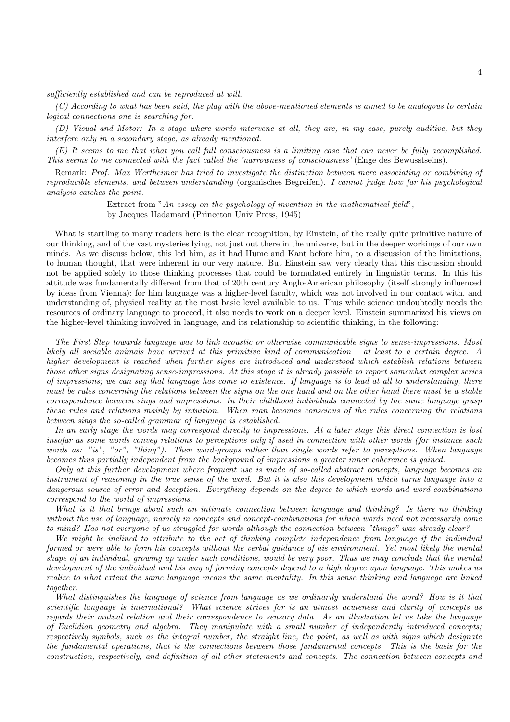sufficiently established and can be reproduced at will.

(C) According to what has been said, the play with the above-mentioned elements is aimed to be analogous to certain logical connections one is searching for.

(D) Visual and Motor: In a stage where words intervene at all, they are, in my case, purely auditive, but they interfere only in a secondary stage, as already mentioned.

(E) It seems to me that what you call full consciousness is a limiting case that can never be fully accomplished. This seems to me connected with the fact called the 'narrowness of consciousness' (Enge des Bewusstseins).

Remark: Prof. Max Wertheimer has tried to investigate the distinction between mere associating or combining of reproducible elements, and between understanding (organisches Begreifen). I cannot judge how far his psychological analysis catches the point.

> Extract from "An essay on the psychology of invention in the mathematical field". by Jacques Hadamard (Princeton Univ Press, 1945)

What is startling to many readers here is the clear recognition, by Einstein, of the really quite primitive nature of our thinking, and of the vast mysteries lying, not just out there in the universe, but in the deeper workings of our own minds. As we discuss below, this led him, as it had Hume and Kant before him, to a discussion of the limitations, to human thought, that were inherent in our very nature. But Einstein saw very clearly that this discussion should not be applied solely to those thinking processes that could be formulated entirely in linguistic terms. In this his attitude was fundamentally different from that of 20th century Anglo-American philosophy (itself strongly influenced by ideas from Vienna); for him language was a higher-level faculty, which was not involved in our contact with, and understanding of, physical reality at the most basic level available to us. Thus while science undoubtedly needs the resources of ordinary language to proceed, it also needs to work on a deeper level. Einstein summarized his views on the higher-level thinking involved in language, and its relationship to scientific thinking, in the following:

The First Step towards language was to link acoustic or otherwise communicable signs to sense-impressions. Most likely all sociable animals have arrived at this primitive kind of communication – at least to a certain degree. A higher development is reached when further signs are introduced and understood which establish relations between those other signs designating sense-impressions. At this stage it is already possible to report somewhat complex series of impressions; we can say that language has come to existence. If language is to lead at all to understanding, there must be rules concerning the relations between the signs on the one hand and on the other hand there must be a stable correspondence between sings and impressions. In their childhood individuals connected by the same language grasp these rules and relations mainly by intuition. When man becomes conscious of the rules concerning the relations between sings the so-called grammar of language is established.

In an early stage the words may correspond directly to impressions. At a later stage this direct connection is lost insofar as some words convey relations to perceptions only if used in connection with other words (for instance such words as: "is", "or", "thing"). Then word-groups rather than single words refer to perceptions. When language becomes thus partially independent from the background of impressions a greater inner coherence is gained.

Only at this further development where frequent use is made of so-called abstract concepts, language becomes an instrument of reasoning in the true sense of the word. But it is also this development which turns language into a dangerous source of error and deception. Everything depends on the degree to which words and word-combinations correspond to the world of impressions.

What is it that brings about such an intimate connection between language and thinking? Is there no thinking without the use of language, namely in concepts and concept-combinations for which words need not necessarily come to mind? Has not everyone of us struggled for words although the connection between "things" was already clear?

We might be inclined to attribute to the act of thinking complete independence from language if the individual formed or were able to form his concepts without the verbal guidance of his environment. Yet most likely the mental shape of an individual, growing up under such conditions, would be very poor. Thus we may conclude that the mental development of the individual and his way of forming concepts depend to a high degree upon language. This makes us realize to what extent the same language means the same mentality. In this sense thinking and language are linked together.

What distinguishes the language of science from language as we ordinarily understand the word? How is it that scientific language is international? What science strives for is an utmost acuteness and clarity of concepts as regards their mutual relation and their correspondence to sensory data. As an illustration let us take the language of Euclidian geometry and algebra. They manipulate with a small number of independently introduced concepts; respectively symbols, such as the integral number, the straight line, the point, as well as with signs which designate the fundamental operations, that is the connections between those fundamental concepts. This is the basis for the construction, respectively, and definition of all other statements and concepts. The connection between concepts and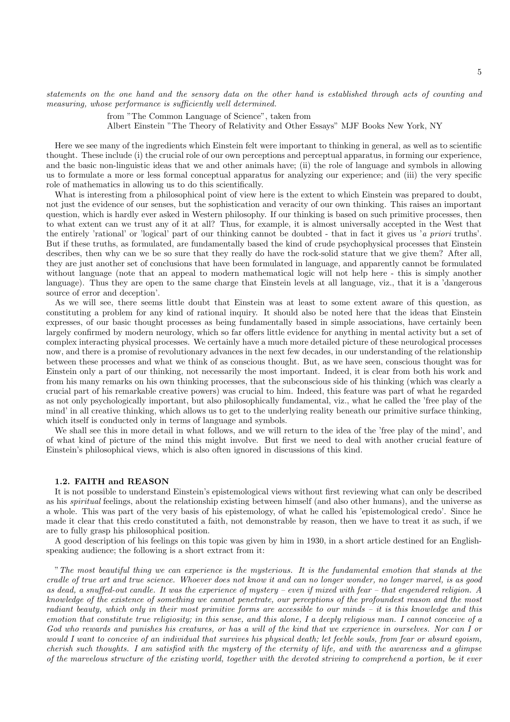statements on the one hand and the sensory data on the other hand is established through acts of counting and measuring, whose performance is sufficiently well determined.

> from "The Common Language of Science", taken from Albert Einstein "The Theory of Relativity and Other Essays" MJF Books New York, NY

Here we see many of the ingredients which Einstein felt were important to thinking in general, as well as to scientific thought. These include (i) the crucial role of our own perceptions and perceptual apparatus, in forming our experience, and the basic non-linguistic ideas that we and other animals have; (ii) the role of language and symbols in allowing us to formulate a more or less formal conceptual apparatus for analyzing our experience; and (iii) the very specific role of mathematics in allowing us to do this scientifically.

What is interesting from a philosophical point of view here is the extent to which Einstein was prepared to doubt, not just the evidence of our senses, but the sophistication and veracity of our own thinking. This raises an important question, which is hardly ever asked in Western philosophy. If our thinking is based on such primitive processes, then to what extent can we trust any of it at all? Thus, for example, it is almost universally accepted in the West that the entirely 'rational' or 'logical' part of our thinking cannot be doubted - that in fact it gives us 'a priori truths'. But if these truths, as formulated, are fundamentally based the kind of crude psychophysical processes that Einstein describes, then why can we be so sure that they really do have the rock-solid stature that we give them? After all, they are just another set of conclusions that have been formulated in language, and apparently cannot be formulated without language (note that an appeal to modern mathematical logic will not help here - this is simply another language). Thus they are open to the same charge that Einstein levels at all language, viz., that it is a 'dangerous source of error and deception'.

As we will see, there seems little doubt that Einstein was at least to some extent aware of this question, as constituting a problem for any kind of rational inquiry. It should also be noted here that the ideas that Einstein expresses, of our basic thought processes as being fundamentally based in simple associations, have certainly been largely confirmed by modern neurology, which so far offers little evidence for anything in mental activity but a set of complex interacting physical processes. We certainly have a much more detailed picture of these neurological processes now, and there is a promise of revolutionary advances in the next few decades, in our understanding of the relationship between these processes and what we think of as conscious thought. But, as we have seen, conscious thought was for Einstein only a part of our thinking, not necessarily the most important. Indeed, it is clear from both his work and from his many remarks on his own thinking processes, that the subconscious side of his thinking (which was clearly a crucial part of his remarkable creative powers) was crucial to him. Indeed, this feature was part of what he regarded as not only psychologically important, but also philosophically fundamental, viz., what he called the 'free play of the mind' in all creative thinking, which allows us to get to the underlying reality beneath our primitive surface thinking, which itself is conducted only in terms of language and symbols.

We shall see this in more detail in what follows, and we will return to the idea of the 'free play of the mind', and of what kind of picture of the mind this might involve. But first we need to deal with another crucial feature of Einstein's philosophical views, which is also often ignored in discussions of this kind.

# 1.2. FAITH and REASON

It is not possible to understand Einstein's epistemological views without first reviewing what can only be described as his spiritual feelings, about the relationship existing between himself (and also other humans), and the universe as a whole. This was part of the very basis of his epistemology, of what he called his 'epistemological credo'. Since he made it clear that this credo constituted a faith, not demonstrable by reason, then we have to treat it as such, if we are to fully grasp his philosophical position.

A good description of his feelings on this topic was given by him in 1930, in a short article destined for an Englishspeaking audience; the following is a short extract from it:

"The most beautiful thing we can experience is the mysterious. It is the fundamental emotion that stands at the cradle of true art and true science. Whoever does not know it and can no longer wonder, no longer marvel, is as good as dead, a snuffed-out candle. It was the experience of mystery – even if mixed with fear – that engendered religion. A knowledge of the existence of something we cannot penetrate, our perceptions of the profoundest reason and the most radiant beauty, which only in their most primitive forms are accessible to our minds – it is this knowledge and this emotion that constitute true religiosity; in this sense, and this alone, I a deeply religious man. I cannot conceive of a God who rewards and punishes his creatures, or has a will of the kind that we experience in ourselves. Nor can I or would I want to conceive of an individual that survives his physical death; let feeble souls, from fear or absurd eqoism, cherish such thoughts. I am satisfied with the mystery of the eternity of life, and with the awareness and a glimpse of the marvelous structure of the existing world, together with the devoted striving to comprehend a portion, be it ever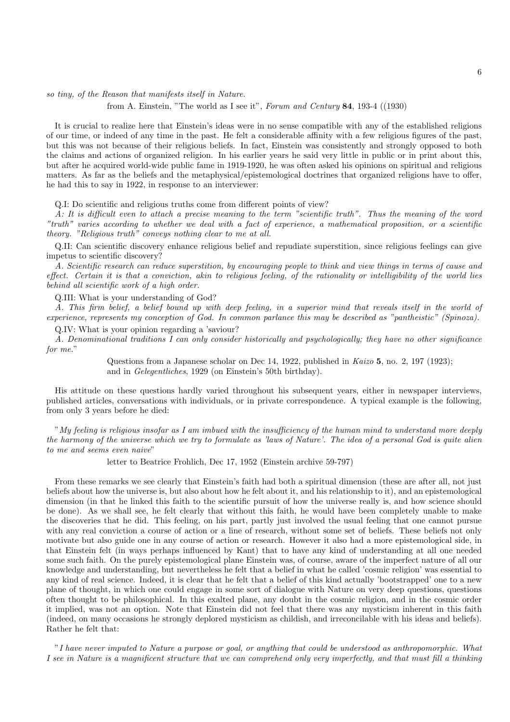so tiny, of the Reason that manifests itself in Nature.

from A. Einstein, "The world as I see it", Forum and Century 84, 193-4 ((1930)

It is crucial to realize here that Einstein's ideas were in no sense compatible with any of the established religions of our time, or indeed of any time in the past. He felt a considerable affinity with a few religious figures of the past, but this was not because of their religious beliefs. In fact, Einstein was consistently and strongly opposed to both the claims and actions of organized religion. In his earlier years he said very little in public or in print about this, but after he acquired world-wide public fame in 1919-1920, he was often asked his opinions on spiritual and religious matters. As far as the beliefs and the metaphysical/epistemological doctrines that organized religions have to offer, he had this to say in 1922, in response to an interviewer:

Q.I: Do scientific and religious truths come from different points of view?

A: It is difficult even to attach a precise meaning to the term "scientific truth". Thus the meaning of the word "truth" varies according to whether we deal with a fact of experience, a mathematical proposition, or a scientific theory. "Religious truth" conveys nothing clear to me at all.

Q.II: Can scientific discovery enhance religious belief and repudiate superstition, since religious feelings can give impetus to scientific discovery?

A. Scientific research can reduce superstition, by encouraging people to think and view things in terms of cause and effect. Certain it is that a conviction, akin to religious feeling, of the rationality or intelligibility of the world lies behind all scientific work of a high order.

Q.III: What is your understanding of God?

A. This firm belief, a belief bound up with deep feeling, in a superior mind that reveals itself in the world of experience, represents my conception of God. In common parlance this may be described as "pantheistic" (Spinoza).

Q.IV: What is your opinion regarding a 'saviour?

A. Denominational traditions I can only consider historically and psychologically; they have no other significance for me."

> Questions from a Japanese scholar on Dec 14, 1922, published in Kaizo 5, no. 2, 197 (1923); and in Gelegentliches, 1929 (on Einstein's 50th birthday).

His attitude on these questions hardly varied throughout his subsequent years, either in newspaper interviews, published articles, conversations with individuals, or in private correspondence. A typical example is the following, from only 3 years before he died:

"My feeling is religious insofar as I am imbued with the insufficiency of the human mind to understand more deeply the harmony of the universe which we try to formulate as 'laws of Nature'. The idea of a personal God is quite alien to me and seems even naive"

letter to Beatrice Frohlich, Dec 17, 1952 (Einstein archive 59-797)

From these remarks we see clearly that Einstein's faith had both a spiritual dimension (these are after all, not just beliefs about how the universe is, but also about how he felt about it, and his relationship to it), and an epistemological dimension (in that he linked this faith to the scientific pursuit of how the universe really is, and how science should be done). As we shall see, he felt clearly that without this faith, he would have been completely unable to make the discoveries that he did. This feeling, on his part, partly just involved the usual feeling that one cannot pursue with any real conviction a course of action or a line of research, without some set of beliefs. These beliefs not only motivate but also guide one in any course of action or research. However it also had a more epistemological side, in that Einstein felt (in ways perhaps influenced by Kant) that to have any kind of understanding at all one needed some such faith. On the purely epistemological plane Einstein was, of course, aware of the imperfect nature of all our knowledge and understanding, but nevertheless he felt that a belief in what he called 'cosmic religion' was essential to any kind of real science. Indeed, it is clear that he felt that a belief of this kind actually 'bootstrapped' one to a new plane of thought, in which one could engage in some sort of dialogue with Nature on very deep questions, questions often thought to be philosophical. In this exalted plane, any doubt in the cosmic religion, and in the cosmic order it implied, was not an option. Note that Einstein did not feel that there was any mysticism inherent in this faith (indeed, on many occasions he strongly deplored mysticism as childish, and irreconcilable with his ideas and beliefs). Rather he felt that:

"I have never imputed to Nature a purpose or goal, or anything that could be understood as anthropomorphic. What I see in Nature is a magnificent structure that we can comprehend only very imperfectly, and that must fill a thinking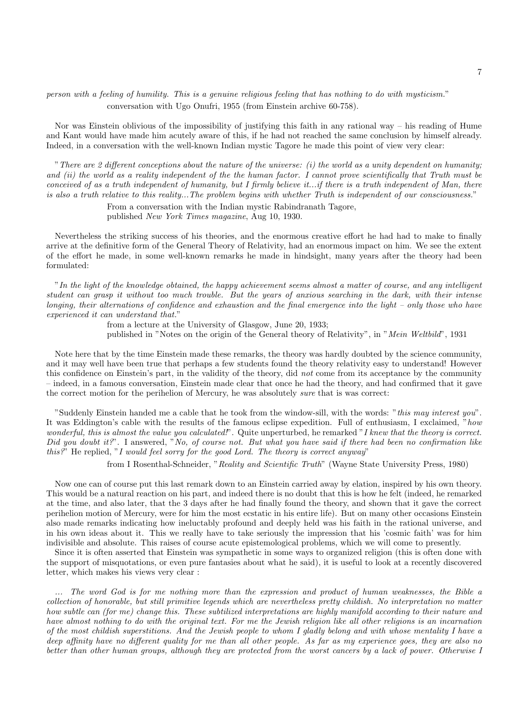person with a feeling of humility. This is a genuine religious feeling that has nothing to do with mysticism." conversation with Ugo Onufri, 1955 (from Einstein archive 60-758).

Nor was Einstein oblivious of the impossibility of justifying this faith in any rational way – his reading of Hume and Kant would have made him acutely aware of this, if he had not reached the same conclusion by himself already. Indeed, in a conversation with the well-known Indian mystic Tagore he made this point of view very clear:

"There are 2 different conceptions about the nature of the universe: (i) the world as a unity dependent on humanity; and (ii) the world as a reality independent of the the human factor. I cannot prove scientifically that Truth must be conceived of as a truth independent of humanity, but I firmly believe it...if there is a truth independent of Man, there is also a truth relative to this reality...The problem begins with whether Truth is independent of our consciousness."

> From a conversation with the Indian mystic Rabindranath Tagore, published New York Times magazine, Aug 10, 1930.

Nevertheless the striking success of his theories, and the enormous creative effort he had had to make to finally arrive at the definitive form of the General Theory of Relativity, had an enormous impact on him. We see the extent of the effort he made, in some well-known remarks he made in hindsight, many years after the theory had been formulated:

"In the light of the knowledge obtained, the happy achievement seems almost a matter of course, and any intelligent student can grasp it without too much trouble. But the years of anxious searching in the dark, with their intense longing, their alternations of confidence and exhaustion and the final emergence into the light – only those who have experienced it can understand that."

> from a lecture at the University of Glasgow, June 20, 1933; published in "Notes on the origin of the General theory of Relativity", in "Mein Weltbild", 1931

Note here that by the time Einstein made these remarks, the theory was hardly doubted by the science community, and it may well have been true that perhaps a few students found the theory relativity easy to understand! However this confidence on Einstein's part, in the validity of the theory, did not come from its acceptance by the community – indeed, in a famous conversation, Einstein made clear that once he had the theory, and had confirmed that it gave the correct motion for the perihelion of Mercury, he was absolutely sure that is was correct:

"Suddenly Einstein handed me a cable that he took from the window-sill, with the words: "this may interest you". It was Eddington's cable with the results of the famous eclipse expedition. Full of enthusiasm, I exclaimed, "how wonderful, this is almost the value you calculated!". Quite unperturbed, he remarked "I knew that the theory is correct. Did you doubt it?". I answered, "No, of course not. But what you have said if there had been no confirmation like this?" He replied, "I would feel sorry for the good Lord. The theory is correct anyway"

from I Rosenthal-Schneider, "Reality and Scientific Truth" (Wayne State University Press, 1980)

Now one can of course put this last remark down to an Einstein carried away by elation, inspired by his own theory. This would be a natural reaction on his part, and indeed there is no doubt that this is how he felt (indeed, he remarked at the time, and also later, that the 3 days after he had finally found the theory, and shown that it gave the correct perihelion motion of Mercury, were for him the most ecstatic in his entire life). But on many other occasions Einstein also made remarks indicating how ineluctably profound and deeply held was his faith in the rational universe, and in his own ideas about it. This we really have to take seriously the impression that his 'cosmic faith' was for him indivisible and absolute. This raises of course acute epistemological problems, which we will come to presently.

Since it is often asserted that Einstein was sympathetic in some ways to organized religion (this is often done with the support of misquotations, or even pure fantasies about what he said), it is useful to look at a recently discovered letter, which makes his views very clear :

... The word God is for me nothing more than the expression and product of human weaknesses, the Bible a collection of honorable, but still primitive legends which are nevertheless pretty childish. No interpretation no matter how subtle can (for me) change this. These subtilized interpretations are highly manifold according to their nature and have almost nothing to do with the original text. For me the Jewish religion like all other religions is an incarnation of the most childish superstitions. And the Jewish people to whom I gladly belong and with whose mentality I have a deep affinity have no different quality for me than all other people. As far as my experience goes, they are also no better than other human groups, although they are protected from the worst cancers by a lack of power. Otherwise I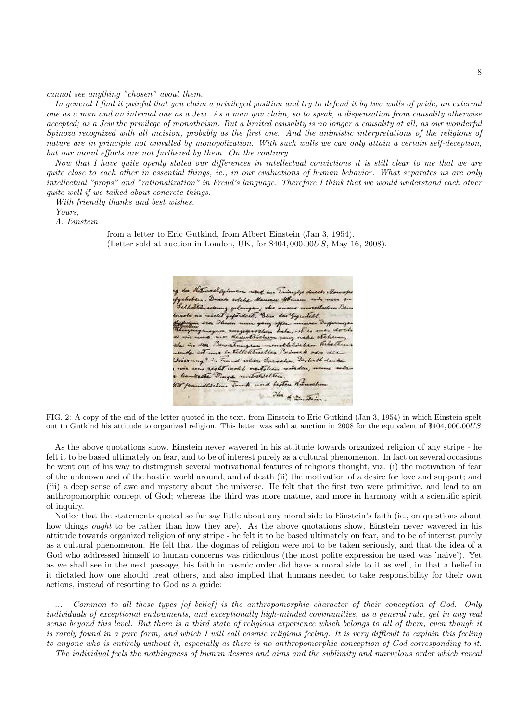#### cannot see anything "chosen" about them.

In general I find it painful that you claim a privileged position and try to defend it by two walls of pride, an external one as a man and an internal one as a Jew. As a man you claim, so to speak, a dispensation from causality otherwise accepted; as a Jew the privilege of monotheism. But a limited causality is no longer a causality at all, as our wonderful Spinoza recognized with all incision, probably as the first one. And the animistic interpretations of the religions of nature are in principle not annulled by monopolization. With such walls we can only attain a certain self-deception, but our moral efforts are not furthered by them. On the contrary.

Now that I have quite openly stated our differences in intellectual convictions it is still clear to me that we are quite close to each other in essential things, ie., in our evaluations of human behavior. What separates us are only intellectual "props" and "rationalization" in Freud's language. Therefore I think that we would understand each other quite well if we talked about concrete things.

With friendly thanks and best wishes.

Yours,

A. Einstein

from a letter to Eric Gutkind, from Albert Einstein (Jan 3, 1954). (Letter sold at auction in London, UK, for \$404, 000.00US, May 16, 2008).

dos Natured sylvanen word in Tringey ducch . boben. Duces while Mensen themen wir Moltanochung gelang  $\mathcal{L}_{\mathcal{A}}$ y expertered. Eline das Gegenteit.  $n \in \{1, 2, 3\}$ you ich 24 y offer mane ichen zu nake stele heer young make stekens<br>monochlächen Krheit un Bewertnungen de est une entitlektualles Pasmak oder der icourage in France willen Spracher. Desteath des is realer worked and others is Mankaste Diage underhielten Wit promotes cheme Touch work besten Willow Jha the Denten

FIG. 2: A copy of the end of the letter quoted in the text, from Einstein to Eric Gutkind (Jan 3, 1954) in which Einstein spelt out to Gutkind his attitude to organized religion. This letter was sold at auction in 2008 for the equivalent of \$404, 000.00US

As the above quotations show, Einstein never wavered in his attitude towards organized religion of any stripe - he felt it to be based ultimately on fear, and to be of interest purely as a cultural phenomenon. In fact on several occasions he went out of his way to distinguish several motivational features of religious thought, viz. (i) the motivation of fear of the unknown and of the hostile world around, and of death (ii) the motivation of a desire for love and support; and (iii) a deep sense of awe and mystery about the universe. He felt that the first two were primitive, and lead to an anthropomorphic concept of God; whereas the third was more mature, and more in harmony with a scientific spirit of inquiry.

Notice that the statements quoted so far say little about any moral side to Einstein's faith (ie., on questions about how things *ought* to be rather than how they are). As the above quotations show, Einstein never wavered in his attitude towards organized religion of any stripe - he felt it to be based ultimately on fear, and to be of interest purely as a cultural phenomenon. He felt that the dogmas of religion were not to be taken seriously, and that the idea of a God who addressed himself to human concerns was ridiculous (the most polite expression he used was 'naive'). Yet as we shall see in the next passage, his faith in cosmic order did have a moral side to it as well, in that a belief in it dictated how one should treat others, and also implied that humans needed to take responsibility for their own actions, instead of resorting to God as a guide:

.... Common to all these types [of belief] is the anthropomorphic character of their conception of God. Only individuals of exceptional endowments, and exceptionally high-minded communities, as a general rule, get in any real sense beyond this level. But there is a third state of religious experience which belongs to all of them, even though it is rarely found in a pure form, and which I will call cosmic religious feeling. It is very difficult to explain this feeling to anyone who is entirely without it, especially as there is no anthropomorphic conception of God corresponding to it.

The individual feels the nothingness of human desires and aims and the sublimity and marvelous order which reveal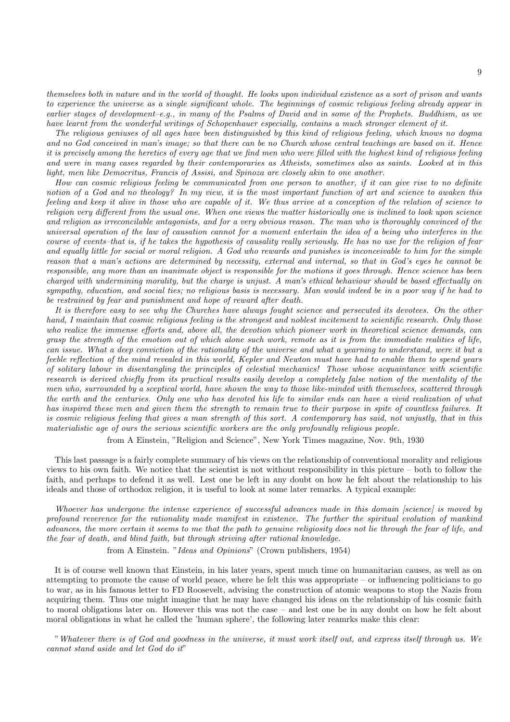themselves both in nature and in the world of thought. He looks upon individual existence as a sort of prison and wants to experience the universe as a single significant whole. The beginnings of cosmic religious feeling already appear in earlier stages of development–e.g., in many of the Psalms of David and in some of the Prophets. Buddhism, as we have learnt from the wonderful writings of Schopenhauer especially, contains a much stronger element of it.

The religious geniuses of all ages have been distinguished by this kind of religious feeling, which knows no dogma and no God conceived in man's image; so that there can be no Church whose central teachings are based on it. Hence it is precisely among the heretics of every age that we find men who were filled with the highest kind of religious feeling and were in many cases regarded by their contemporaries as Atheists, sometimes also as saints. Looked at in this light, men like Democritus, Francis of Assisi, and Spinoza are closely akin to one another.

How can cosmic religious feeling be communicated from one person to another, if it can give rise to no definite notion of a God and no theology? In my view, it is the most important function of art and science to awaken this feeling and keep it alive in those who are capable of it. We thus arrive at a conception of the relation of science to religion very different from the usual one. When one views the matter historically one is inclined to look upon science and religion as irreconcilable antagonists, and for a very obvious reason. The man who is thoroughly convinced of the universal operation of the law of causation cannot for a moment entertain the idea of a being who interferes in the course of events–that is, if he takes the hypothesis of causality really seriously. He has no use for the religion of fear and equally little for social or moral religion. A God who rewards and punishes is inconceivable to him for the simple reason that a man's actions are determined by necessity, external and internal, so that in God's eyes he cannot be responsible, any more than an inanimate object is responsible for the motions it goes through. Hence science has been charged with undermining morality, but the charge is unjust. A man's ethical behaviour should be based effectually on sympathy, education, and social ties; no religious basis is necessary. Man would indeed be in a poor way if he had to be restrained by fear and punishment and hope of reward after death.

It is therefore easy to see why the Churches have always fought science and persecuted its devotees. On the other hand, I maintain that cosmic religious feeling is the strongest and noblest incitement to scientific research. Only those who realize the immense efforts and, above all, the devotion which pioneer work in theoretical science demands, can grasp the strength of the emotion out of which alone such work, remote as it is from the immediate realities of life, can issue. What a deep conviction of the rationality of the universe and what a yearning to understand, were it but a feeble reflection of the mind revealed in this world, Kepler and Newton must have had to enable them to spend years of solitary labour in disentangling the principles of celestial mechanics! Those whose acquaintance with scientific research is derived chiefly from its practical results easily develop a completely false notion of the mentality of the men who, surrounded by a sceptical world, have shown the way to those like-minded with themselves, scattered through the earth and the centuries. Only one who has devoted his life to similar ends can have a vivid realization of what has inspired these men and given them the strength to remain true to their purpose in spite of countless failures. It is cosmic religious feeling that gives a man strength of this sort. A contemporary has said, not unjustly, that in this materialistic age of ours the serious scientific workers are the only profoundly religious people.

from A Einstein, "Religion and Science", New York Times magazine, Nov. 9th, 1930

This last passage is a fairly complete summary of his views on the relationship of conventional morality and religious views to his own faith. We notice that the scientist is not without responsibility in this picture – both to follow the faith, and perhaps to defend it as well. Lest one be left in any doubt on how he felt about the relationship to his ideals and those of orthodox religion, it is useful to look at some later remarks. A typical example:

Whoever has undergone the intense experience of successful advances made in this domain [science] is moved by profound reverence for the rationality made manifest in existence. The further the spiritual evolution of mankind advances, the more certain it seems to me that the path to genuine religiosity does not lie through the fear of life, and the fear of death, and blind faith, but through striving after rational knowledge.

from A Einstein. "Ideas and Opinions" (Crown publishers, 1954)

It is of course well known that Einstein, in his later years, spent much time on humanitarian causes, as well as on attempting to promote the cause of world peace, where he felt this was appropriate – or influencing politicians to go to war, as in his famous letter to FD Roosevelt, advising the construction of atomic weapons to stop the Nazis from acquiring them. Thus one might imagine that he may have changed his ideas on the relationship of his cosmic faith to moral obligations later on. However this was not the case – and lest one be in any doubt on how he felt about moral obligations in what he called the 'human sphere', the following later reamrks make this clear:

"Whatever there is of God and goodness in the universe, it must work itself out, and express itself through us. We cannot stand aside and let God do it"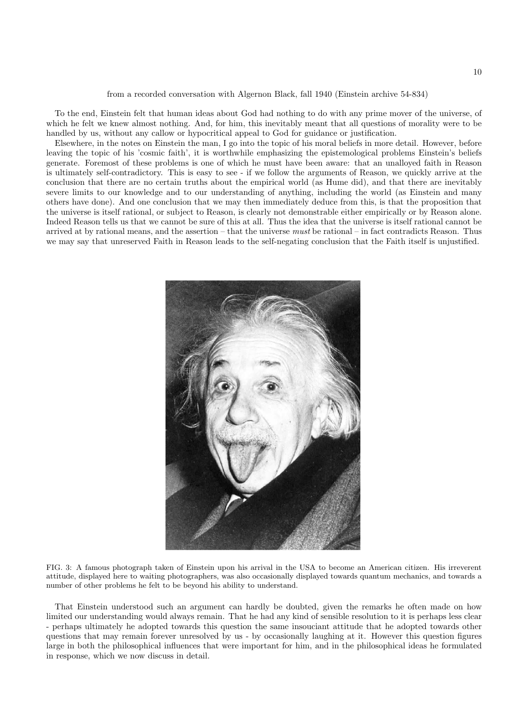To the end, Einstein felt that human ideas about God had nothing to do with any prime mover of the universe, of which he felt we knew almost nothing. And, for him, this inevitably meant that all questions of morality were to be handled by us, without any callow or hypocritical appeal to God for guidance or justification.

Elsewhere, in the notes on Einstein the man, I go into the topic of his moral beliefs in more detail. However, before leaving the topic of his 'cosmic faith', it is worthwhile emphasizing the epistemological problems Einstein's beliefs generate. Foremost of these problems is one of which he must have been aware: that an unalloyed faith in Reason is ultimately self-contradictory. This is easy to see - if we follow the arguments of Reason, we quickly arrive at the conclusion that there are no certain truths about the empirical world (as Hume did), and that there are inevitably severe limits to our knowledge and to our understanding of anything, including the world (as Einstein and many others have done). And one conclusion that we may then immediately deduce from this, is that the proposition that the universe is itself rational, or subject to Reason, is clearly not demonstrable either empirically or by Reason alone. Indeed Reason tells us that we cannot be sure of this at all. Thus the idea that the universe is itself rational cannot be arrived at by rational means, and the assertion – that the universe must be rational – in fact contradicts Reason. Thus we may say that unreserved Faith in Reason leads to the self-negating conclusion that the Faith itself is unjustified.



FIG. 3: A famous photograph taken of Einstein upon his arrival in the USA to become an American citizen. His irreverent attitude, displayed here to waiting photographers, was also occasionally displayed towards quantum mechanics, and towards a number of other problems he felt to be beyond his ability to understand.

That Einstein understood such an argument can hardly be doubted, given the remarks he often made on how limited our understanding would always remain. That he had any kind of sensible resolution to it is perhaps less clear - perhaps ultimately he adopted towards this question the same insouciant attitude that he adopted towards other questions that may remain forever unresolved by us - by occasionally laughing at it. However this question figures large in both the philosophical influences that were important for him, and in the philosophical ideas he formulated in response, which we now discuss in detail.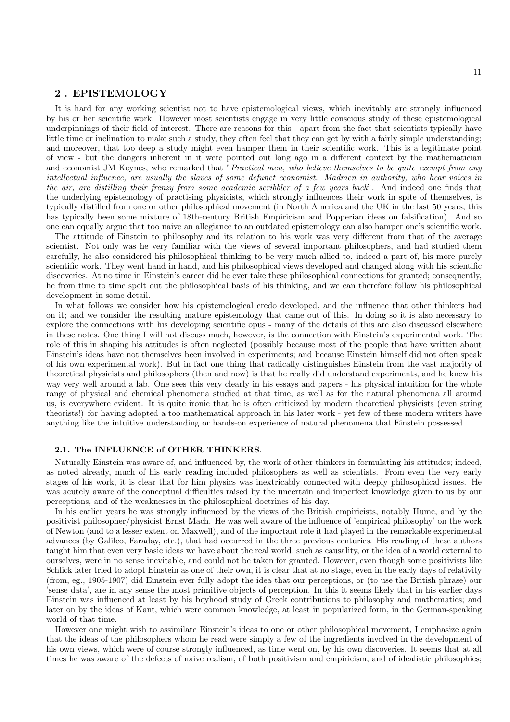## 2 . EPISTEMOLOGY

It is hard for any working scientist not to have epistemological views, which inevitably are strongly influenced by his or her scientific work. However most scientists engage in very little conscious study of these epistemological underpinnings of their field of interest. There are reasons for this - apart from the fact that scientists typically have little time or inclination to make such a study, they often feel that they can get by with a fairly simple understanding; and moreover, that too deep a study might even hamper them in their scientific work. This is a legitimate point of view - but the dangers inherent in it were pointed out long ago in a different context by the mathematician and economist JM Keynes, who remarked that  $\overline{p}$  Practical men, who believe themselves to be quite exempt from any intellectual influence, are usually the slaves of some defunct economist. Madmen in authority, who hear voices in the air, are distilling their frenzy from some academic scribbler of a few years back". And indeed one finds that the underlying epistemology of practising physicists, which strongly influences their work in spite of themselves, is typically distilled from one or other philosophical movement (in North America and the UK in the last 50 years, this has typically been some mixture of 18th-century British Empiricism and Popperian ideas on falsification). And so one can equally argue that too naive an allegiance to an outdated epistemology can also hamper one's scientific work.

The attitude of Einstein to philosophy and its relation to his work was very different from that of the average scientist. Not only was he very familiar with the views of several important philosophers, and had studied them carefully, he also considered his philosophical thinking to be very much allied to, indeed a part of, his more purely scientific work. They went hand in hand, and his philosophical views developed and changed along with his scientific discoveries. At no time in Einstein's career did he ever take these philosophical connections for granted; consequently, he from time to time spelt out the philosophical basis of his thinking, and we can therefore follow his philosophical development in some detail.

In what follows we consider how his epistemological credo developed, and the influence that other thinkers had on it; and we consider the resulting mature epistemology that came out of this. In doing so it is also necessary to explore the connections with his developing scientific opus - many of the details of this are also discussed elsewhere in these notes. One thing I will not discuss much, however, is the connection with Einstein's experimental work. The role of this in shaping his attitudes is often neglected (possibly because most of the people that have written about Einstein's ideas have not themselves been involved in experiments; and because Einstein himself did not often speak of his own experimental work). But in fact one thing that radically distinguishes Einstein from the vast majority of theoretical physicists and philosophers (then and now) is that he really did understand experiments, and he knew his way very well around a lab. One sees this very clearly in his essays and papers - his physical intuition for the whole range of physical and chemical phenomena studied at that time, as well as for the natural phenomena all around us, is everywhere evident. It is quite ironic that he is often criticized by modern theoretical physicists (even string theorists!) for having adopted a too mathematical approach in his later work - yet few of these modern writers have anything like the intuitive understanding or hands-on experience of natural phenomena that Einstein possessed.

### 2.1. The INFLUENCE of OTHER THINKERS.

Naturally Einstein was aware of, and influenced by, the work of other thinkers in formulating his attitudes; indeed, as noted already, much of his early reading included philosophers as well as scientists. From even the very early stages of his work, it is clear that for him physics was inextricably connected with deeply philosophical issues. He was acutely aware of the conceptual difficulties raised by the uncertain and imperfect knowledge given to us by our perceptions, and of the weaknesses in the philosophical doctrines of his day.

In his earlier years he was strongly influenced by the views of the British empiricists, notably Hume, and by the positivist philosopher/physicist Ernst Mach. He was well aware of the influence of 'empirical philosophy' on the work of Newton (and to a lesser extent on Maxwell), and of the important role it had played in the remarkable experimental advances (by Galileo, Faraday, etc.), that had occurred in the three previous centuries. His reading of these authors taught him that even very basic ideas we have about the real world, such as causality, or the idea of a world external to ourselves, were in no sense inevitable, and could not be taken for granted. However, even though some positivists like Schlick later tried to adopt Einstein as one of their own, it is clear that at no stage, even in the early days of relativity (from, eg., 1905-1907) did Einstein ever fully adopt the idea that our perceptions, or (to use the British phrase) our 'sense data', are in any sense the most primitive objects of perception. In this it seems likely that in his earlier days Einstein was influenced at least by his boyhood study of Greek contributions to philosophy and mathematics; and later on by the ideas of Kant, which were common knowledge, at least in popularized form, in the German-speaking world of that time.

However one might wish to assimilate Einstein's ideas to one or other philosophical movement, I emphasize again that the ideas of the philosophers whom he read were simply a few of the ingredients involved in the development of his own views, which were of course strongly influenced, as time went on, by his own discoveries. It seems that at all times he was aware of the defects of naive realism, of both positivism and empiricism, and of idealistic philosophies;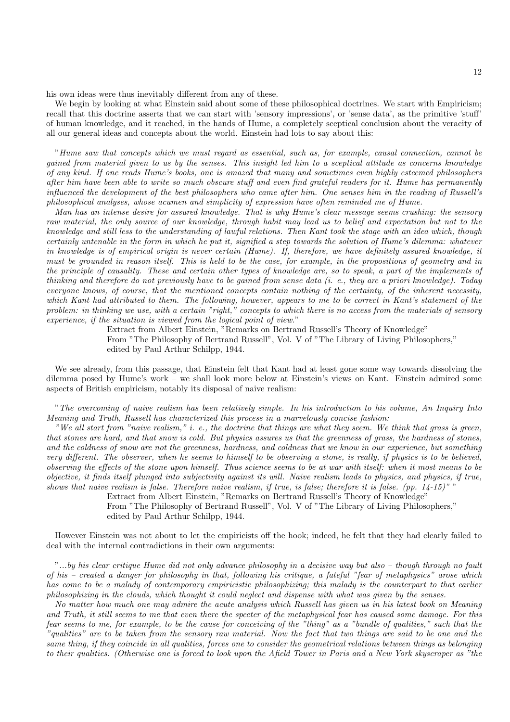his own ideas were thus inevitably different from any of these.

We begin by looking at what Einstein said about some of these philosophical doctrines. We start with Empiricism; recall that this doctrine asserts that we can start with 'sensory impressions', or 'sense data', as the primitive 'stuff' of human knowledge, and it reached, in the hands of Hume, a completely sceptical conclusion about the veracity of all our general ideas and concepts about the world. Einstein had lots to say about this:

"Hume saw that concepts which we must regard as essential, such as, for example, causal connection, cannot be gained from material given to us by the senses. This insight led him to a sceptical attitude as concerns knowledge of any kind. If one reads Hume's books, one is amazed that many and sometimes even highly esteemed philosophers after him have been able to write so much obscure stuff and even find grateful readers for it. Hume has permanently influenced the development of the best philosophers who came after him. One senses him in the reading of Russell's philosophical analyses, whose acumen and simplicity of expression have often reminded me of Hume.

Man has an intense desire for assured knowledge. That is why Hume's clear message seems crushing: the sensory raw material, the only source of our knowledge, through habit may lead us to belief and expectation but not to the knowledge and still less to the understanding of lawful relations. Then Kant took the stage with an idea which, though certainly untenable in the form in which he put it, signified a step towards the solution of Hume's dilemma: whatever in knowledge is of empirical origin is never certain (Hume). If, therefore, we have definitely assured knowledge, it must be grounded in reason itself. This is held to be the case, for example, in the propositions of geometry and in the principle of causality. These and certain other types of knowledge are, so to speak, a part of the implements of thinking and therefore do not previously have to be gained from sense data (i. e., they are a priori knowledge). Today everyone knows, of course, that the mentioned concepts contain nothing of the certainty, of the inherent necessity, which Kant had attributed to them. The following, however, appears to me to be correct in Kant's statement of the problem: in thinking we use, with a certain "right," concepts to which there is no access from the materials of sensory experience, if the situation is viewed from the logical point of view."

> Extract from Albert Einstein, "Remarks on Bertrand Russell's Theory of Knowledge" From "The Philosophy of Bertrand Russell", Vol. V of "The Library of Living Philosophers," edited by Paul Arthur Schilpp, 1944.

We see already, from this passage, that Einstein felt that Kant had at least gone some way towards dissolving the dilemma posed by Hume's work – we shall look more below at Einstein's views on Kant. Einstein admired some aspects of British empiricism, notably its disposal of naive realism:

"The overcoming of naive realism has been relatively simple. In his introduction to his volume, An Inquiry Into Meaning and Truth, Russell has characterized this process in a marvelously concise fashion:

"We all start from "naive realism," i. e., the doctrine that things are what they seem. We think that grass is green, that stones are hard, and that snow is cold. But physics assures us that the greenness of grass, the hardness of stones, and the coldness of snow are not the greenness, hardness, and coldness that we know in our experience, but something very different. The observer, when he seems to himself to be observing a stone, is really, if physics is to be believed, observing the effects of the stone upon himself. Thus science seems to be at war with itself: when it most means to be objective, it finds itself plunged into subjectivity against its will. Naive realism leads to physics, and physics, if true, shows that naive realism is false. Therefore naive realism, if true, is false; therefore it is false. (pp.  $14\n-15$ )"

Extract from Albert Einstein, "Remarks on Bertrand Russell's Theory of Knowledge"

From "The Philosophy of Bertrand Russell", Vol. V of "The Library of Living Philosophers," edited by Paul Arthur Schilpp, 1944.

However Einstein was not about to let the empiricists off the hook; indeed, he felt that they had clearly failed to deal with the internal contradictions in their own arguments:

"...by his clear critique Hume did not only advance philosophy in a decisive way but also – though through no fault of his – created a danger for philosophy in that, following his critique, a fateful "fear of metaphysics" arose which has come to be a malady of contemporary empiricistic philosophizing; this malady is the counterpart to that earlier philosophizing in the clouds, which thought it could neglect and dispense with what was given by the senses.

No matter how much one may admire the acute analysis which Russell has given us in his latest book on Meaning and Truth, it still seems to me that even there the specter of the metaphysical fear has caused some damage. For this fear seems to me, for example, to be the cause for conceiving of the "thing" as a "bundle of qualities," such that the "qualities" are to be taken from the sensory raw material. Now the fact that two things are said to be one and the same thing, if they coincide in all qualities, forces one to consider the geometrical relations between things as belonging to their qualities. (Otherwise one is forced to look upon the Afield Tower in Paris and a New York skyscraper as "the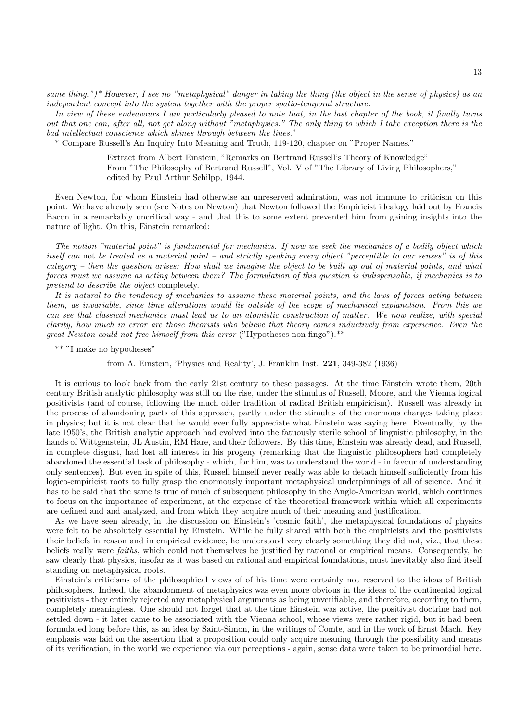same thing.")\* However, I see no "metaphysical" danger in taking the thing (the object in the sense of physics) as an independent concept into the system together with the proper spatio-temporal structure.

In view of these endeavours I am particularly pleased to note that, in the last chapter of the book, it finally turns out that one can, after all, not get along without "metaphysics." The only thing to which I take exception there is the bad intellectual conscience which shines through between the lines."

\* Compare Russell's An Inquiry Into Meaning and Truth, 119-120, chapter on "Proper Names."

Extract from Albert Einstein, "Remarks on Bertrand Russell's Theory of Knowledge" From "The Philosophy of Bertrand Russell", Vol. V of "The Library of Living Philosophers," edited by Paul Arthur Schilpp, 1944.

Even Newton, for whom Einstein had otherwise an unreserved admiration, was not immune to criticism on this point. We have already seen (see Notes on Newton) that Newton followed the Empiricist idealogy laid out by Francis Bacon in a remarkably uncritical way - and that this to some extent prevented him from gaining insights into the nature of light. On this, Einstein remarked:

The notion "material point" is fundamental for mechanics. If now we seek the mechanics of a bodily object which itself can not be treated as a material point – and strictly speaking every object "perceptible to our senses" is of this category – then the question arises: How shall we imagine the object to be built up out of material points, and what forces must we assume as acting between them? The formulation of this question is indispensable, if mechanics is to pretend to describe the object completely.

It is natural to the tendency of mechanics to assume these material points, and the laws of forces acting between them, as invariable, since time alterations would lie outside of the scope of mechanical explanation. From this we can see that classical mechanics must lead us to an atomistic construction of matter. We now realize, with special clarity, how much in error are those theorists who believe that theory comes inductively from experience. Even the great Newton could not free himself from this error ("Hypotheses non fingo").\*\*

\*\* "I make no hypotheses"

from A. Einstein, 'Physics and Reality', J. Franklin Inst. 221, 349-382 (1936)

It is curious to look back from the early 21st century to these passages. At the time Einstein wrote them, 20th century British analytic philosophy was still on the rise, under the stimulus of Russell, Moore, and the Vienna logical positivists (and of course, following the much older tradition of radical British empiricism). Russell was already in the process of abandoning parts of this approach, partly under the stimulus of the enormous changes taking place in physics; but it is not clear that he would ever fully appreciate what Einstein was saying here. Eventually, by the late 1950's, the British analytic approach had evolved into the fatuously sterile school of linguistic philosophy, in the hands of Wittgenstein, JL Austin, RM Hare, and their followers. By this time, Einstein was already dead, and Russell, in complete disgust, had lost all interest in his progeny (remarking that the linguistic philosophers had completely abandoned the essential task of philosophy - which, for him, was to understand the world - in favour of understanding only sentences). But even in spite of this, Russell himself never really was able to detach himself sufficiently from his logico-empiricist roots to fully grasp the enormously important metaphysical underpinnings of all of science. And it has to be said that the same is true of much of subsequent philosophy in the Anglo-American world, which continues to focus on the importance of experiment, at the expense of the theoretical framework within which all experiments are defined and and analyzed, and from which they acquire much of their meaning and justification.

As we have seen already, in the discussion on Einstein's 'cosmic faith', the metaphysical foundations of physics were felt to be absolutely essential by Einstein. While he fully shared with both the empiricists and the positivists their beliefs in reason and in empirical evidence, he understood very clearly something they did not, viz., that these beliefs really were faiths, which could not themselves be justified by rational or empirical means. Consequently, he saw clearly that physics, insofar as it was based on rational and empirical foundations, must inevitably also find itself standing on metaphysical roots.

Einstein's criticisms of the philosophical views of of his time were certainly not reserved to the ideas of British philosophers. Indeed, the abandonment of metaphysics was even more obvious in the ideas of the continental logical positivists - they entirely rejected any metaphysical arguments as being unverifiable, and therefore, according to them, completely meaningless. One should not forget that at the time Einstein was active, the positivist doctrine had not settled down - it later came to be associated with the Vienna school, whose views were rather rigid, but it had been formulated long before this, as an idea by Saint-Simon, in the writings of Comte, and in the work of Ernst Mach. Key emphasis was laid on the assertion that a proposition could only acquire meaning through the possibility and means of its verification, in the world we experience via our perceptions - again, sense data were taken to be primordial here.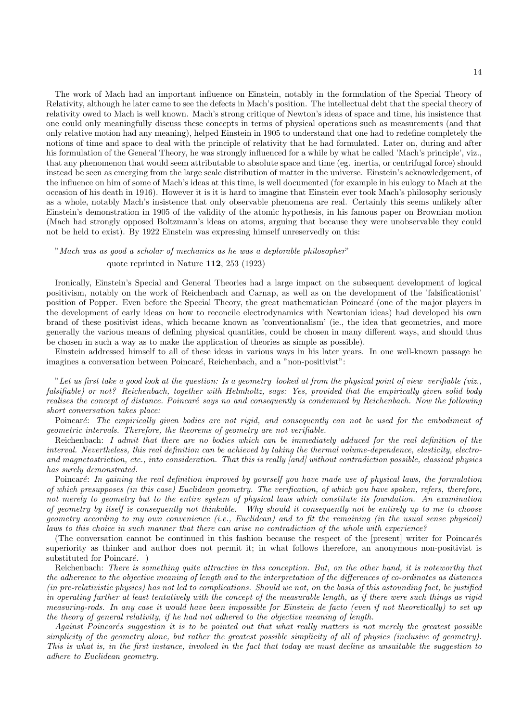The work of Mach had an important influence on Einstein, notably in the formulation of the Special Theory of Relativity, although he later came to see the defects in Mach's position. The intellectual debt that the special theory of relativity owed to Mach is well known. Mach's strong critique of Newton's ideas of space and time, his insistence that one could only meaningfully discuss these concepts in terms of physical operations such as measurements (and that only relative motion had any meaning), helped Einstein in 1905 to understand that one had to redefine completely the notions of time and space to deal with the principle of relativity that he had formulated. Later on, during and after his formulation of the General Theory, he was strongly influenced for a while by what he called 'Mach's principle', viz., that any phenomenon that would seem attributable to absolute space and time (eg. inertia, or centrifugal force) should instead be seen as emerging from the large scale distribution of matter in the universe. Einstein's acknowledgement, of the influence on him of some of Mach's ideas at this time, is well documented (for example in his eulogy to Mach at the occasion of his death in 1916). However it is it is hard to imagine that Einstein ever took Mach's philosophy seriously as a whole, notably Mach's insistence that only observable phenomena are real. Certainly this seems unlikely after Einstein's demonstration in 1905 of the validity of the atomic hypothesis, in his famous paper on Brownian motion (Mach had strongly opposed Boltzmann's ideas on atoms, arguing that because they were unobservable they could not be held to exist). By 1922 Einstein was expressing himself unreservedly on this:

# "Mach was as good a scholar of mechanics as he was a deplorable philosopher" quote reprinted in Nature 112, 253 (1923)

Ironically, Einstein's Special and General Theories had a large impact on the subsequent development of logical positivism, notably on the work of Reichenbach and Carnap, as well as on the development of the 'falsificationist' position of Popper. Even before the Special Theory, the great mathematician Poincaré (one of the major players in the development of early ideas on how to reconcile electrodynamics with Newtonian ideas) had developed his own brand of these positivist ideas, which became known as 'conventionalism' (ie., the idea that geometries, and more generally the various means of defining physical quantities, could be chosen in many different ways, and should thus be chosen in such a way as to make the application of theories as simple as possible).

Einstein addressed himself to all of these ideas in various ways in his later years. In one well-known passage he imagines a conversation between Poincaré, Reichenbach, and a "non-positivist":

"Let us first take a good look at the question: Is a geometry looked at from the physical point of view verifiable (viz., falsifiable) or not? Reichenbach, together with Helmholtz, says: Yes, provided that the empirically given solid body realises the concept of distance. Poincaré says no and consequently is condemned by Reichenbach. Now the following short conversation takes place:

Poincaré: The empirically given bodies are not rigid, and consequently can not be used for the embodiment of geometric intervals. Therefore, the theorems of geometry are not verifiable.

Reichenbach: I admit that there are no bodies which can be immediately adduced for the real definition of the interval. Nevertheless, this real definition can be achieved by taking the thermal volume-dependence, elasticity, electroand magnetostriction, etc., into consideration. That this is really [and] without contradiction possible, classical physics has surely demonstrated.

Poincaré: In gaining the real definition improved by yourself you have made use of physical laws, the formulation of which presupposes (in this case) Euclidean geometry. The verification, of which you have spoken, refers, therefore, not merely to geometry but to the entire system of physical laws which constitute its foundation. An examination of geometry by itself is consequently not thinkable. Why should it consequently not be entirely up to me to choose geometry according to my own convenience (i.e., Euclidean) and to fit the remaining (in the usual sense physical) laws to this choice in such manner that there can arise no contradiction of the whole with experience?

(The conversation cannot be continued in this fashion because the respect of the [present] writer for Poincar´es superiority as thinker and author does not permit it; in what follows therefore, an anonymous non-positivist is substituted for Poincaré. )

Reichenbach: There is something quite attractive in this conception. But, on the other hand, it is noteworthy that the adherence to the objective meaning of length and to the interpretation of the differences of co-ordinates as distances (in pre-relativistic physics) has not led to complications. Should we not, on the basis of this astounding fact, be justified in operating further at least tentatively with the concept of the measurable length, as if there were such things as rigid measuring-rods. In any case it would have been impossible for Einstein de facto (even if not theoretically) to set up the theory of general relativity, if he had not adhered to the objective meaning of length.

 $A$ gainst Poincarés suggestion it is to be pointed out that what really matters is not merely the greatest possible simplicity of the geometry alone, but rather the greatest possible simplicity of all of physics (inclusive of geometry). This is what is, in the first instance, involved in the fact that today we must decline as unsuitable the suggestion to adhere to Euclidean geometry.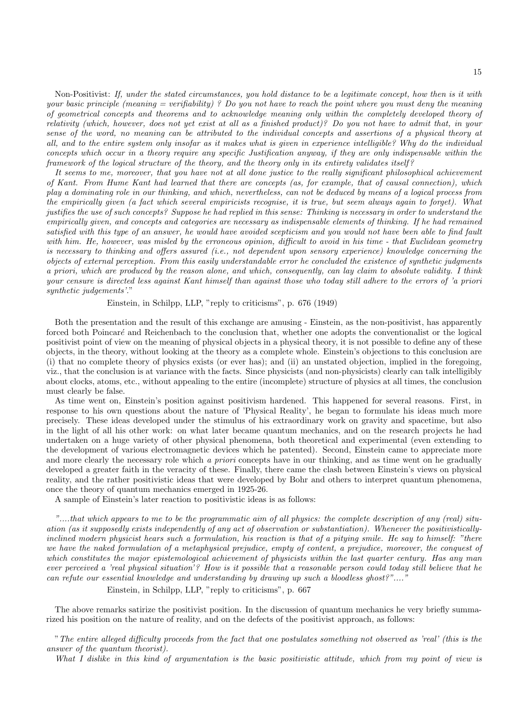Non-Positivist: If, under the stated circumstances, you hold distance to be a legitimate concept, how then is it with your basic principle (meaning = verifiability) ? Do you not have to reach the point where you must deny the meaning of geometrical concepts and theorems and to acknowledge meaning only within the completely developed theory of relativity (which, however, does not yet exist at all as a finished product)? Do you not have to admit that, in your sense of the word, no meaning can be attributed to the individual concepts and assertions of a physical theory at all, and to the entire system only insofar as it makes what is given in experience intelligible? Why do the individual concepts which occur in a theory require any specific Justification anyway, if they are only indispensable within the framework of the logical structure of the theory, and the theory only in its entirety validates itself ?

It seems to me, moreover, that you have not at all done justice to the really significant philosophical achievement of Kant. From Hume Kant had learned that there are concepts (as, for example, that of causal connection), which play a dominating role in our thinking, and which, nevertheless, can not be deduced by means of a logical process from the empirically given (a fact which several empiricists recognise, it is true, but seem always again to forget). What justifies the use of such concepts? Suppose he had replied in this sense: Thinking is necessary in order to understand the empirically given, and concepts and categories are necessary as indispensable elements of thinking. If he had remained satisfied with this type of an answer, he would have avoided scepticism and you would not have been able to find fault with him. He, however, was misled by the erroneous opinion, difficult to avoid in his time - that Euclidean geometry is necessary to thinking and offers assured (i.e., not dependent upon sensory experience) knowledge concerning the objects of external perception. From this easily understandable error he concluded the existence of synthetic judgments a priori, which are produced by the reason alone, and which, consequently, can lay claim to absolute validity. I think your censure is directed less against Kant himself than against those who today still adhere to the errors of 'a priori synthetic judgements'."

Einstein, in Schilpp, LLP, "reply to criticisms", p. 676 (1949)

Both the presentation and the result of this exchange are amusing - Einstein, as the non-positivist, has apparently forced both Poincaré and Reichenbach to the conclusion that, whether one adopts the conventionalist or the logical positivist point of view on the meaning of physical objects in a physical theory, it is not possible to define any of these objects, in the theory, without looking at the theory as a complete whole. Einstein's objections to this conclusion are (i) that no complete theory of physics exists (or ever has); and (ii) an unstated objection, implied in the foregoing, viz., that the conclusion is at variance with the facts. Since physicists (and non-physicists) clearly can talk intelligibly about clocks, atoms, etc., without appealing to the entire (incomplete) structure of physics at all times, the conclusion must clearly be false.

As time went on, Einstein's position against positivism hardened. This happened for several reasons. First, in response to his own questions about the nature of 'Physical Reality', he began to formulate his ideas much more precisely. These ideas developed under the stimulus of his extraordinary work on gravity and spacetime, but also in the light of all his other work: on what later became quantum mechanics, and on the research projects he had undertaken on a huge variety of other physical phenomena, both theoretical and experimental (even extending to the development of various electromagnetic devices which he patented). Second, Einstein came to appreciate more and more clearly the necessary role which a priori concepts have in our thinking, and as time went on he gradually developed a greater faith in the veracity of these. Finally, there came the clash between Einstein's views on physical reality, and the rather positivistic ideas that were developed by Bohr and others to interpret quantum phenomena, once the theory of quantum mechanics emerged in 1925-26.

A sample of Einstein's later reaction to positivistic ideas is as follows:

"....that which appears to me to be the programmatic aim of all physics: the complete description of any (real) situation (as it supposedly exists independently of any act of observation or substantiation). Whenever the positivisticallyinclined modern physicist hears such a formulation, his reaction is that of a pitying smile. He say to himself: "there we have the naked formulation of a metaphysical prejudice, empty of content, a prejudice, moreover, the conquest of which constitutes the major epistemological achievement of physicists within the last quarter century. Has any man ever perceived a 'real physical situation'? How is it possible that a reasonable person could today still believe that he can refute our essential knowledge and understanding by drawing up such a bloodless ghost?"...."

Einstein, in Schilpp, LLP, "reply to criticisms", p. 667

The above remarks satirize the positivist position. In the discussion of quantum mechanics he very briefly summarized his position on the nature of reality, and on the defects of the positivist approach, as follows:

"The entire alleged difficulty proceeds from the fact that one postulates something not observed as 'real' (this is the answer of the quantum theorist).

What I dislike in this kind of argumentation is the basic positivistic attitude, which from my point of view is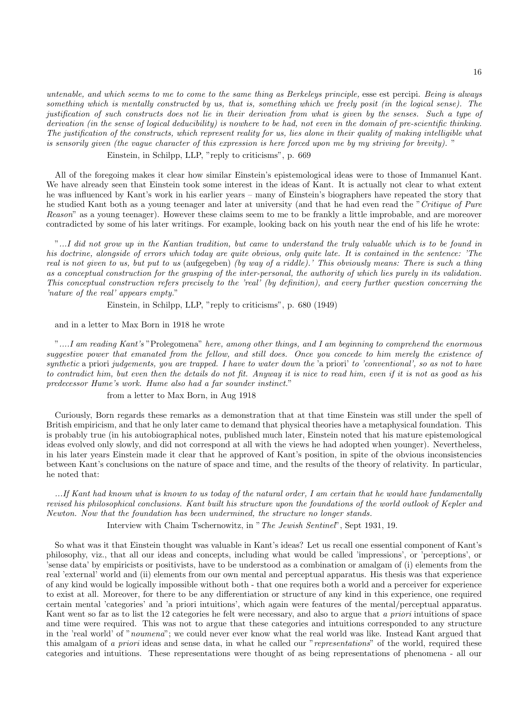untenable, and which seems to me to come to the same thing as Berkeleys principle, esse est percipi. Being is always something which is mentally constructed by us, that is, something which we freely posit (in the logical sense). The justification of such constructs does not lie in their derivation from what is given by the senses. Such a type of derivation (in the sense of logical deducibility) is nowhere to be had, not even in the domain of pre-scientific thinking. The justification of the constructs, which represent reality for us, lies alone in their quality of making intelligible what is sensorily given (the vague character of this expression is here forced upon me by my striving for brevity). "

Einstein, in Schilpp, LLP, "reply to criticisms", p. 669

All of the foregoing makes it clear how similar Einstein's epistemological ideas were to those of Immanuel Kant. We have already seen that Einstein took some interest in the ideas of Kant. It is actually not clear to what extent he was influenced by Kant's work in his earlier years – many of Einstein's biographers have repeated the story that he studied Kant both as a young teenager and later at university (and that he had even read the "Critique of Pure Reason" as a young teenager). However these claims seem to me to be frankly a little improbable, and are moreover contradicted by some of his later writings. For example, looking back on his youth near the end of his life he wrote:

"...I did not grow up in the Kantian tradition, but came to understand the truly valuable which is to be found in his doctrine, alongside of errors which today are quite obvious, only quite late. It is contained in the sentence: 'The real is not given to us, but put to us (aufgegeben) (by way of a riddle).' This obviously means: There is such a thing as a conceptual construction for the grasping of the inter-personal, the authority of which lies purely in its validation. This conceptual construction refers precisely to the 'real' (by definition), and every further question concerning the 'nature of the real' appears empty."

Einstein, in Schilpp, LLP, "reply to criticisms", p. 680 (1949)

and in a letter to Max Born in 1918 he wrote

"....I am reading Kant's "Prolegomena" here, among other things, and I am beginning to comprehend the enormous suggestive power that emanated from the fellow, and still does. Once you concede to him merely the existence of synthetic a priori judgements, you are trapped. I have to water down the 'a priori' to 'conventional', so as not to have to contradict him, but even then the details do not fit. Anyway it is nice to read him, even if it is not as good as his predecessor Hume's work. Hume also had a far sounder instinct."

from a letter to Max Born, in Aug 1918

Curiously, Born regards these remarks as a demonstration that at that time Einstein was still under the spell of British empiricism, and that he only later came to demand that physical theories have a metaphysical foundation. This is probably true (in his autobiographical notes, published much later, Einstein noted that his mature epistemological ideas evolved only slowly, and did not correspond at all with the views he had adopted when younger). Nevertheless, in his later years Einstein made it clear that he approved of Kant's position, in spite of the obvious inconsistencies between Kant's conclusions on the nature of space and time, and the results of the theory of relativity. In particular, he noted that:

...If Kant had known what is known to us today of the natural order, I am certain that he would have fundamentally revised his philosophical conclusions. Kant built his structure upon the foundations of the world outlook of Kepler and Newton. Now that the foundation has been undermined, the structure no longer stands.

Interview with Chaim Tschernowitz, in "The Jewish Sentinel", Sept 1931, 19.

So what was it that Einstein thought was valuable in Kant's ideas? Let us recall one essential component of Kant's philosophy, viz., that all our ideas and concepts, including what would be called 'impressions', or 'perceptions', or 'sense data' by empiricists or positivists, have to be understood as a combination or amalgam of (i) elements from the real 'external' world and (ii) elements from our own mental and perceptual apparatus. His thesis was that experience of any kind would be logically impossible without both - that one requires both a world and a perceiver for experience to exist at all. Moreover, for there to be any differentiation or structure of any kind in this experience, one required certain mental 'categories' and 'a priori intuitions', which again were features of the mental/perceptual apparatus. Kant went so far as to list the 12 categories he felt were necessary, and also to argue that a priori intuitions of space and time were required. This was not to argue that these categories and intuitions corresponded to any structure in the 'real world' of "noumena"; we could never ever know what the real world was like. Instead Kant argued that this amalgam of a priori ideas and sense data, in what he called our "representations" of the world, required these categories and intuitions. These representations were thought of as being representations of phenomena - all our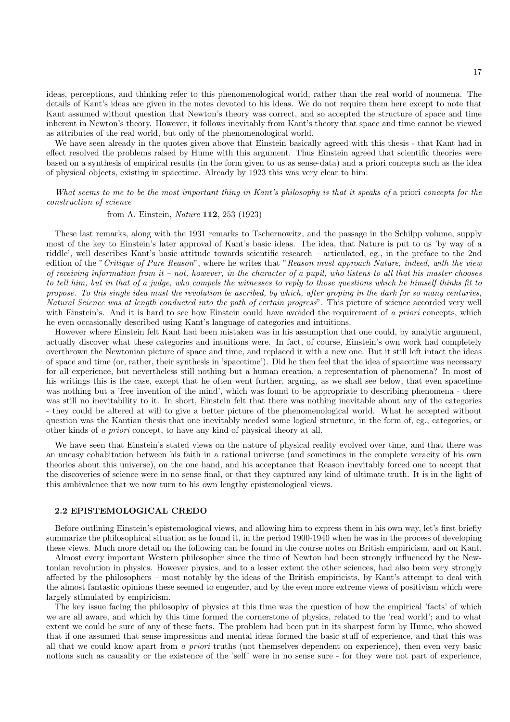ideas, perceptions, and thinking refer to this phenomenological world, rather than the real world of noumena. The details of Kant's ideas are given in the notes devoted to his ideas. We do not require them here except to note that Kant assumed without question that Newton's theory was correct, and so accepted the structure of space and time inherent in Newton's theory. However, it follows inevitably from Kant's theory that space and time cannot be viewed as attributes of the real world, but only of the phenomenological world.

We have seen already in the quotes given above that Einstein basically agreed with this thesis - that Kant had in effect resolved the problems raised by Hume with this argument. Thus Einstein agreed that scientific theories were based on a synthesis of empirical results (in the form given to us as sense-data) and a priori concepts such as the idea of physical objects, existing in spacetime. Already by 1923 this was very clear to him:

What seems to me to be the most important thing in Kant's philosophy is that it speaks of a priori concepts for the construction of science

#### from A. Einstein, Nature 112, 253 (1923)

These last remarks, along with the 1931 remarks to Tschernowitz, and the passage in the Schilpp volume, supply most of the key to Einstein's later approval of Kant's basic ideas. The idea, that Nature is put to us 'by way of a riddle', well describes Kant's basic attitude towards scientific research – articulated, eg., in the preface to the 2nd edition of the "Critique of Pure Reason", where he writes that "Reason must approach Nature, indeed, with the view of receiving information from it – not, however, in the character of a pupil, who listens to all that his master chooses to tell him, but in that of a judge, who compels the witnesses to reply to those questions which he himself thinks fit to propose. To this single idea must the revolution be ascribed, by which, after groping in the dark for so many centuries, Natural Science was at length conducted into the path of certain progress". This picture of science accorded very well with Einstein's. And it is hard to see how Einstein could have avoided the requirement of a priori concepts, which he even occasionally described using Kant's language of categories and intuitions.

However where Einstein felt Kant had been mistaken was in his assumption that one could, by analytic argument, actually discover what these categories and intuitions were. In fact, of course, Einstein's own work had completely overthrown the Newtonian picture of space and time, and replaced it with a new one. But it still left intact the ideas of space and time (or, rather, their synthesis in 'spacetime'). Did he then feel that the idea of spacetime was necessary for all experience, but nevertheless still nothing but a human creation, a representation of phenomena? In most of his writings this is the case, except that he often went further, arguing, as we shall see below, that even spacetime was nothing but a 'free invention of the mind', which was found to be appropriate to describing phenomena - there was still no inevitability to it. In short, Einstein felt that there was nothing inevitable about any of the categories - they could be altered at will to give a better picture of the phenomenological world. What he accepted without question was the Kantian thesis that one inevitably needed some logical structure, in the form of, eg., categories, or other kinds of a priori concept, to have any kind of physical theory at all.

We have seen that Einstein's stated views on the nature of physical reality evolved over time, and that there was an uneasy cohabitation between his faith in a rational universe (and sometimes in the complete veracity of his own theories about this universe), on the one hand, and his acceptance that Reason inevitably forced one to accept that the discoveries of science were in no sense final, or that they captured any kind of ultimate truth. It is in the light of this ambivalence that we now turn to his own lengthy epistemological views.

# 2.2 EPISTEMOLOGICAL CREDO

Before outlining Einstein's epistemological views, and allowing him to express them in his own way, let's first briefly summarize the philosophical situation as he found it, in the period 1900-1940 when he was in the process of developing these views. Much more detail on the following can be found in the course notes on British empiricism, and on Kant.

Almost every important Western philosopher since the time of Newton had been strongly influenced by the Newtonian revolution in physics. However physics, and to a lesser extent the other sciences, had also been very strongly affected by the philosophers – most notably by the ideas of the British empiricists, by Kant's attempt to deal with the almost fantastic opinions these seemed to engender, and by the even more extreme views of positivism which were largely stimulated by empiricism.

The key issue facing the philosophy of physics at this time was the question of how the empirical 'facts' of which we are all aware, and which by this time formed the cornerstone of physics, related to the 'real world'; and to what extent we could be sure of any of these facts. The problem had been put in its sharpest form by Hume, who showed that if one assumed that sense impressions and mental ideas formed the basic stuff of experience, and that this was all that we could know apart from a priori truths (not themselves dependent on experience), then even very basic notions such as causality or the existence of the 'self' were in no sense sure - for they were not part of experience,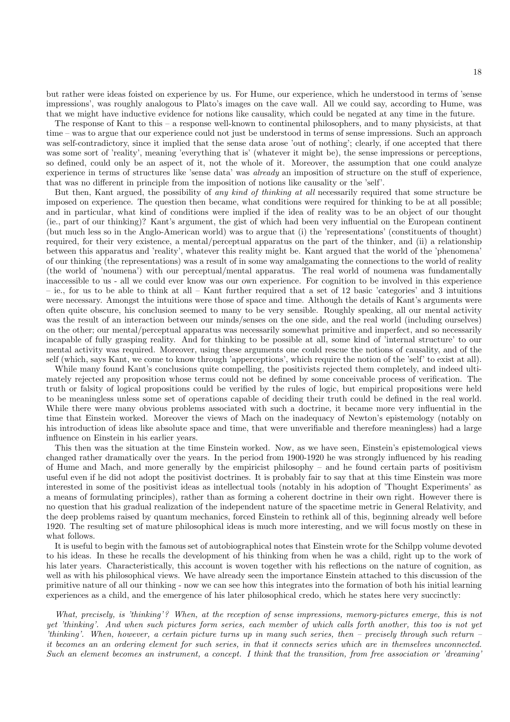but rather were ideas foisted on experience by us. For Hume, our experience, which he understood in terms of 'sense impressions', was roughly analogous to Plato's images on the cave wall. All we could say, according to Hume, was that we might have inductive evidence for notions like causality, which could be negated at any time in the future.

The response of Kant to this – a response well-known to continental philosophers, and to many physicists, at that time – was to argue that our experience could not just be understood in terms of sense impressions. Such an approach was self-contradictory, since it implied that the sense data arose 'out of nothing'; clearly, if one accepted that there was some sort of 'reality', meaning 'everything that is' (whatever it might be), the sense impressions or perceptions, so defined, could only be an aspect of it, not the whole of it. Moreover, the assumption that one could analyze experience in terms of structures like 'sense data' was already an imposition of structure on the stuff of experience, that was no different in principle from the imposition of notions like causality or the 'self'.

But then, Kant argued, the possibility of *any kind of thinking at all* necessarily required that some structure be imposed on experience. The question then became, what conditions were required for thinking to be at all possible; and in particular, what kind of conditions were implied if the idea of reality was to be an object of our thought (ie., part of our thinking)? Kant's argument, the gist of which had been very influential on the European continent (but much less so in the Anglo-American world) was to argue that (i) the 'representations' (constituents of thought) required, for their very existence, a mental/perceptual apparatus on the part of the thinker, and (ii) a relationship between this apparatus and 'reality', whatever this reality might be. Kant argued that the world of the 'phenomena' of our thinking (the representations) was a result of in some way amalgamating the connections to the world of reality (the world of 'noumena') with our perceptual/mental apparatus. The real world of noumena was fundamentally inaccessible to us - all we could ever know was our own experience. For cognition to be involved in this experience – ie., for us to be able to think at all – Kant further required that a set of 12 basic 'categories' and 3 intuitions were necessary. Amongst the intuitions were those of space and time. Although the details of Kant's arguments were often quite obscure, his conclusion seemed to many to be very sensible. Roughly speaking, all our mental activity was the result of an interaction between our minds/senses on the one side, and the real world (including ourselves) on the other; our mental/perceptual apparatus was necessarily somewhat primitive and imperfect, and so necessarily incapable of fully grasping reality. And for thinking to be possible at all, some kind of 'internal structure' to our mental activity was required. Moreover, using these arguments one could rescue the notions of causality, and of the self (which, says Kant, we come to know through 'apperceptions', which require the notion of the 'self' to exist at all).

While many found Kant's conclusions quite compelling, the positivists rejected them completely, and indeed ultimately rejected any proposition whose terms could not be defined by some conceivable process of verification. The truth or falsity of logical propositions could be verified by the rules of logic, but empirical propositions were held to be meaningless unless some set of operations capable of deciding their truth could be defined in the real world. While there were many obvious problems associated with such a doctrine, it became more very influential in the time that Einstein worked. Moreover the views of Mach on the inadequacy of Newton's epistemology (notably on his introduction of ideas like absolute space and time, that were unverifiable and therefore meaningless) had a large influence on Einstein in his earlier years.

This then was the situation at the time Einstein worked. Now, as we have seen, Einstein's epistemological views changed rather dramatically over the years. In the period from 1900-1920 he was strongly influenced by his reading of Hume and Mach, and more generally by the empiricist philosophy – and he found certain parts of positivism useful even if he did not adopt the positivist doctrines. It is probably fair to say that at this time Einstein was more interested in some of the positivist ideas as intellectual tools (notably in his adoption of 'Thought Experiments' as a means of formulating principles), rather than as forming a coherent doctrine in their own right. However there is no question that his gradual realization of the independent nature of the spacetime metric in General Relativity, and the deep problems raised by quantum mechanics, forced Einstein to rethink all of this, beginning already well before 1920. The resulting set of mature philosophical ideas is much more interesting, and we will focus mostly on these in what follows.

It is useful to begin with the famous set of autobiographical notes that Einstein wrote for the Schilpp volume devoted to his ideas. In these he recalls the development of his thinking from when he was a child, right up to the work of his later years. Characteristically, this account is woven together with his reflections on the nature of cognition, as well as with his philosophical views. We have already seen the importance Einstein attached to this discussion of the primitive nature of all our thinking - now we can see how this integrates into the formation of both his initial learning experiences as a child, and the emergence of his later philosophical credo, which he states here very succinctly:

What, precisely, is 'thinking'? When, at the reception of sense impressions, memory-pictures emerge, this is not yet 'thinking'. And when such pictures form series, each member of which calls forth another, this too is not yet 'thinking'. When, however, a certain picture turns up in many such series, then – precisely through such return – it becomes an an ordering element for such series, in that it connects series which are in themselves unconnected. Such an element becomes an instrument, a concept. I think that the transition, from free association or 'dreaming'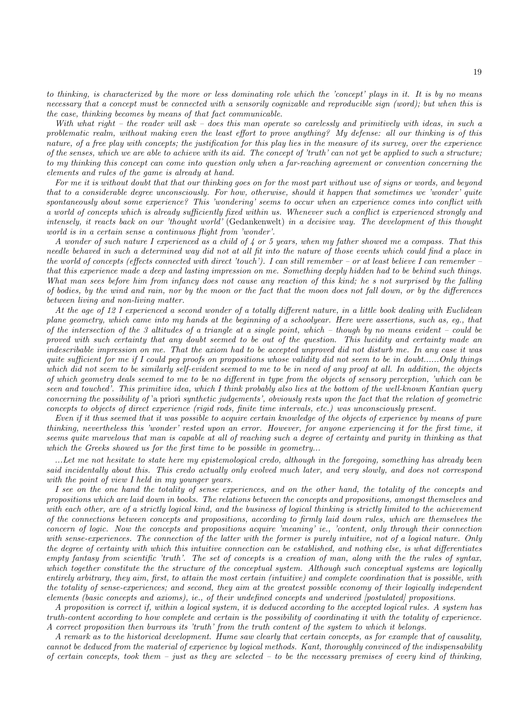to thinking, is characterized by the more or less dominating role which the 'concept' plays in it. It is by no means necessary that a concept must be connected with a sensorily cognizable and reproducible sign (word); but when this is the case, thinking becomes by means of that fact communicable.

With what right – the reader will ask – does this man operate so carelessly and primitively with ideas, in such a problematic realm, without making even the least effort to prove anything? My defense: all our thinking is of this nature, of a free play with concepts; the justification for this play lies in the measure of its survey, over the experience of the senses, which we are able to achieve with its aid. The concept of 'truth' can not yet be applied to such a structure; to my thinking this concept can come into question only when a far-reaching agreement or convention concerning the elements and rules of the game is already at hand.

For me it is without doubt that that our thinking goes on for the most part without use of signs or words, and beyond that to a considerable degree unconsciously. For how, otherwise, should it happen that sometimes we 'wonder' quite spontaneously about some experience? This 'wondering' seems to occur when an experience comes into conflict with a world of concepts which is already sufficiently fixed within us. Whenever such a conflict is experienced strongly and intensely, it reacts back on our 'thought world' (Gedankenwelt) in a decisive way. The development of this thought world is in a certain sense a continuous flight from 'wonder'.

A wonder of such nature I experienced as a child of 4 or 5 years, when my father showed me a compass. That this needle behaved in such a determined way did not at all fit into the nature of those events which could find a place in the world of concepts (effects connected with direct 'touch'). I can still remember – or at least believe I can remember – that this experience made a deep and lasting impression on me. Something deeply hidden had to be behind such things. What man sees before him from infancy does not cause any reaction of this kind; he s not surprised by the falling of bodies, by the wind and rain, nor by the moon or the fact that the moon does not fall down, or by the differences between living and non-living matter.

At the age of 12 I experienced a second wonder of a totally different nature, in a little book dealing with Euclidean plane geometry, which came into my hands at the beginning of a schoolyear. Here were assertions, such as, eg., that of the intersection of the 3 altitudes of a triangle at a single point, which – though by no means evident – could be proved with such certainty that any doubt seemed to be out of the question. This lucidity and certainty made an indescribable impression on me. That the axiom had to be accepted unproved did not disturb me. In any case it was quite sufficient for me if I could peg proofs on propositions whose validity did not seem to be in doubt......Only things which did not seem to be similarly self-evident seemed to me to be in need of any proof at all. In addition, the objects of which geometry deals seemed to me to be no different in type from the objects of sensory perception, 'which can be seen and touched'. This primitive idea, which I think probably also lies at the bottom of the well-known Kantian query concerning the possibility of 'a priori synthetic judgements', obviously rests upon the fact that the relation of geometric concepts to objects of direct experience (rigid rods, finite time intervals, etc.) was unconsciously present.

Even if it thus seemed that it was possible to acquire certain knowledge of the objects of experience by means of pure thinking, nevertheless this 'wonder' rested upon an error. However, for anyone experiencing it for the first time, it seems quite marvelous that man is capable at all of reaching such a degree of certainty and purity in thinking as that which the Greeks showed us for the first time to be possible in geometry...

...Let me not hesitate to state here my epistemological credo, although in the foregoing, something has already been said incidentally about this. This credo actually only evolved much later, and very slowly, and does not correspond with the point of view I held in my younger years.

I see on the one hand the totality of sense experiences, and on the other hand, the totality of the concepts and propositions which are laid down in books. The relations between the concepts and propositions, amongst themselves and with each other, are of a strictly logical kind, and the business of logical thinking is strictly limited to the achievement of the connections between concepts and propositions, according to firmly laid down rules, which are themselves the concern of logic. Now the concepts and propositions acquire 'meaning' ie., 'content, only through their connection with sense-experiences. The connection of the latter with the former is purely intuitive, not of a logical nature. Only the degree of certainty with which this intuitive connection can be established, and nothing else, is what differentiates empty fantasy from scientific 'truth'. The set of concepts is a creation of man, along with the the rules of syntax, which together constitute the the structure of the conceptual system. Although such conceptual systems are logically entirely arbitrary, they aim, first, to attain the most certain (intuitive) and complete coordination that is possible, with the totality of sense-experiences; and second, they aim at the greatest possible economy of their logically independent elements (basic concepts and axioms), ie., of their undefined concepts and underived [postulated] propositions.

A proposition is correct if, within a logical system, it is deduced according to the accepted logical rules. A system has truth-content according to how complete and certain is the possibility of coordinating it with the totality of experience. A correct proposition then burrows its 'truth' from the truth content of the system to which it belongs.

A remark as to the historical development. Hume saw clearly that certain concepts, as for example that of causality, cannot be deduced from the material of experience by logical methods. Kant, thoroughly convinced of the indispensability of certain concepts, took them – just as they are selected – to be the necessary premises of every kind of thinking,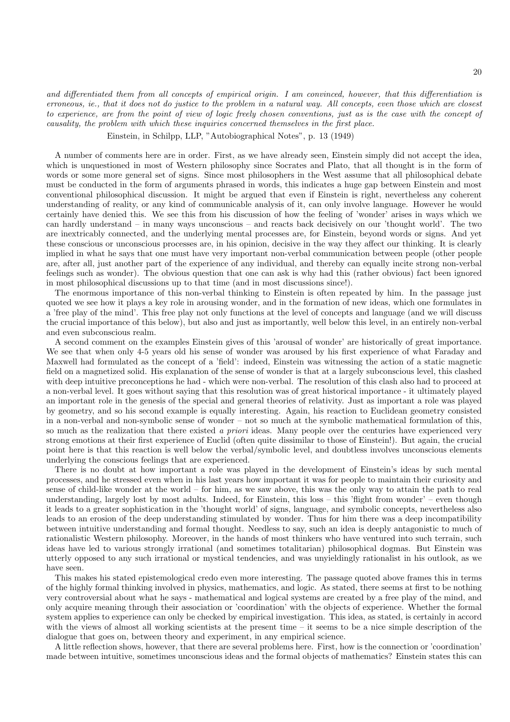and differentiated them from all concepts of empirical origin. I am convinced, however, that this differentiation is erroneous, ie., that it does not do justice to the problem in a natural way. All concepts, even those which are closest to experience, are from the point of view of logic freely chosen conventions, just as is the case with the concept of causality, the problem with which these inquiries concerned themselves in the first place.

Einstein, in Schilpp, LLP, "Autobiographical Notes", p. 13 (1949)

A number of comments here are in order. First, as we have already seen, Einstein simply did not accept the idea, which is unquestioned in most of Western philosophy since Socrates and Plato, that all thought is in the form of words or some more general set of signs. Since most philosophers in the West assume that all philosophical debate must be conducted in the form of arguments phrased in words, this indicates a huge gap between Einstein and most conventional philosophical discussion. It might be argued that even if Einstein is right, nevertheless any coherent understanding of reality, or any kind of communicable analysis of it, can only involve language. However he would certainly have denied this. We see this from his discussion of how the feeling of 'wonder' arises in ways which we can hardly understand – in many ways unconscious – and reacts back decisively on our 'thought world'. The two are inextricably connected, and the underlying mental processes are, for Einstein, beyond words or signs. And yet these conscious or unconscious processes are, in his opinion, decisive in the way they affect our thinking. It is clearly implied in what he says that one must have very important non-verbal communication between people (other people are, after all, just another part of the experience of any individual, and thereby can equally incite strong non-verbal feelings such as wonder). The obvious question that one can ask is why had this (rather obvious) fact been ignored in most philosophical discussions up to that time (and in most discussions since!).

The enormous importance of this non-verbal thinking to Einstein is often repeated by him. In the passage just quoted we see how it plays a key role in arousing wonder, and in the formation of new ideas, which one formulates in a 'free play of the mind'. This free play not only functions at the level of concepts and language (and we will discuss the crucial importance of this below), but also and just as importantly, well below this level, in an entirely non-verbal and even subconscious realm.

A second comment on the examples Einstein gives of this 'arousal of wonder' are historically of great importance. We see that when only 4-5 years old his sense of wonder was aroused by his first experience of what Faraday and Maxwell had formulated as the concept of a 'field': indeed, Einstein was witnessing the action of a static magnetic field on a magnetized solid. His explanation of the sense of wonder is that at a largely subconscious level, this clashed with deep intuitive preconceptions he had - which were non-verbal. The resolution of this clash also had to proceed at a non-verbal level. It goes without saying that this resolution was of great historical importance - it ultimately played an important role in the genesis of the special and general theories of relativity. Just as important a role was played by geometry, and so his second example is equally interesting. Again, his reaction to Euclidean geometry consisted in a non-verbal and non-symbolic sense of wonder – not so much at the symbolic mathematical formulation of this, so much as the realization that there existed a priori ideas. Many people over the centuries have experienced very strong emotions at their first experience of Euclid (often quite dissimilar to those of Einstein!). But again, the crucial point here is that this reaction is well below the verbal/symbolic level, and doubtless involves unconscious elements underlying the conscious feelings that are experienced.

There is no doubt at how important a role was played in the development of Einstein's ideas by such mental processes, and he stressed even when in his last years how important it was for people to maintain their curiosity and sense of child-like wonder at the world – for him, as we saw above, this was the only way to attain the path to real understanding, largely lost by most adults. Indeed, for Einstein, this loss – this 'flight from wonder' – even though it leads to a greater sophistication in the 'thought world' of signs, language, and symbolic concepts, nevertheless also leads to an erosion of the deep understanding stimulated by wonder. Thus for him there was a deep incompatibility between intuitive understanding and formal thought. Needless to say, such an idea is deeply antagonistic to much of rationalistic Western philosophy. Moreover, in the hands of most thinkers who have ventured into such terrain, such ideas have led to various strongly irrational (and sometimes totalitarian) philosophical dogmas. But Einstein was utterly opposed to any such irrational or mystical tendencies, and was unyieldingly rationalist in his outlook, as we have seen.

This makes his stated epistemological credo even more interesting. The passage quoted above frames this in terms of the highly formal thinking involved in physics, mathematics, and logic. As stated, there seems at first to be nothing very controversial about what he says - mathematical and logical systems are created by a free play of the mind, and only acquire meaning through their association or 'coordination' with the objects of experience. Whether the formal system applies to experience can only be checked by empirical investigation. This idea, as stated, is certainly in accord with the views of almost all working scientists at the present time  $-$  it seems to be a nice simple description of the dialogue that goes on, between theory and experiment, in any empirical science.

A little reflection shows, however, that there are several problems here. First, how is the connection or 'coordination' made between intuitive, sometimes unconscious ideas and the formal objects of mathematics? Einstein states this can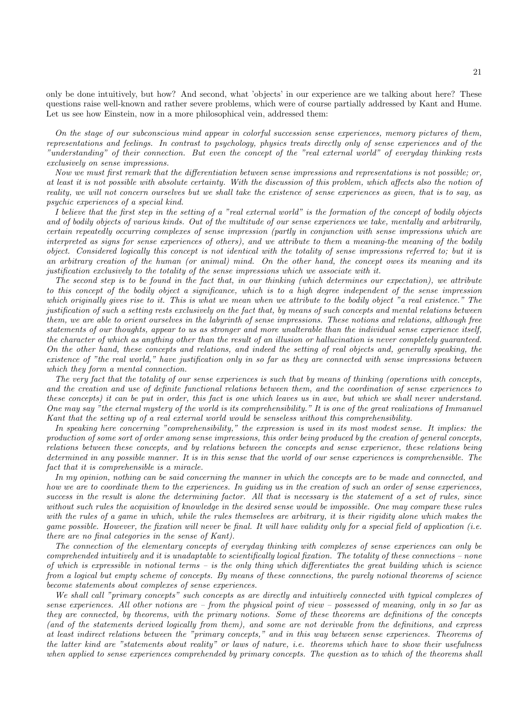only be done intuitively, but how? And second, what 'objects' in our experience are we talking about here? These questions raise well-known and rather severe problems, which were of course partially addressed by Kant and Hume. Let us see how Einstein, now in a more philosophical vein, addressed them:

On the stage of our subconscious mind appear in colorful succession sense experiences, memory pictures of them, representations and feelings. In contrast to psychology, physics treats directly only of sense experiences and of the "understanding" of their connection. But even the concept of the "real external world" of everyday thinking rests exclusively on sense impressions.

Now we must first remark that the differentiation between sense impressions and representations is not possible; or, at least it is not possible with absolute certainty. With the discussion of this problem, which affects also the notion of reality, we will not concern ourselves but we shall take the existence of sense experiences as given, that is to say, as psychic experiences of a special kind.

I believe that the first step in the setting of a "real external world" is the formation of the concept of bodily objects and of bodily objects of various kinds. Out of the multitude of our sense experiences we take, mentally and arbitrarily, certain repeatedly occurring complexes of sense impression (partly in conjunction with sense impressions which are interpreted as signs for sense experiences of others), and we attribute to them a meaning-the meaning of the bodily object. Considered logically this concept is not identical with the totality of sense impressions referred to; but it is an arbitrary creation of the human (or animal) mind. On the other hand, the concept owes its meaning and its justification exclusively to the totality of the sense impressions which we associate with it.

The second step is to be found in the fact that, in our thinking (which determines our expectation), we attribute to this concept of the bodily object a significance, which is to a high degree independent of the sense impression which originally gives rise to it. This is what we mean when we attribute to the bodily object "a real existence." The justification of such a setting rests exclusively on the fact that, by means of such concepts and mental relations between them, we are able to orient ourselves in the labyrinth of sense impressions. These notions and relations, although free statements of our thoughts, appear to us as stronger and more unalterable than the individual sense experience itself, the character of which as anything other than the result of an illusion or hallucination is never completely guaranteed. On the other hand, these concepts and relations, and indeed the setting of real objects and, generally speaking, the existence of "the real world," have justification only in so far as they are connected with sense impressions between which they form a mental connection.

The very fact that the totality of our sense experiences is such that by means of thinking (operations with concepts, and the creation and use of definite functional relations between them, and the coordination of sense experiences to these concepts) it can be put in order, this fact is one which leaves us in awe, but which we shall never understand. One may say "the eternal mystery of the world is its comprehensibility." It is one of the great realizations of Immanuel Kant that the setting up of a real external world would be senseless without this comprehensibility.

In speaking here concerning "comprehensibility," the expression is used in its most modest sense. It implies: the production of some sort of order among sense impressions, this order being produced by the creation of general concepts, relations between these concepts, and by relations between the concepts and sense experience, these relations being determined in any possible manner. It is in this sense that the world of our sense experiences is comprehensible. The fact that it is comprehensible is a miracle.

In my opinion, nothing can be said concerning the manner in which the concepts are to be made and connected, and how we are to coordinate them to the experiences. In guiding us in the creation of such an order of sense experiences, success in the result is alone the determining factor. All that is necessary is the statement of a set of rules, since without such rules the acquisition of knowledge in the desired sense would be impossible. One may compare these rules with the rules of a game in which, while the rules themselves are arbitrary, it is their rigidity alone which makes the game possible. However, the fixation will never be final. It will have validity only for a special field of application (i.e. there are no final categories in the sense of Kant).

The connection of the elementary concepts of everyday thinking with complexes of sense experiences can only be comprehended intuitively and it is unadaptable to scientifically logical fixation. The totality of these connections – none of which is expressible in notional terms – is the only thing which differentiates the great building which is science from a logical but empty scheme of concepts. By means of these connections, the purely notional theorems of science become statements about complexes of sense experiences.

We shall call "primary concepts" such concepts as are directly and intuitively connected with typical complexes of sense experiences. All other notions are – from the physical point of view – possessed of meaning, only in so far as they are connected, by theorems, with the primary notions. Some of these theorems are definitions of the concepts (and of the statements derived logically from them), and some are not derivable from the definitions, and express at least indirect relations between the "primary concepts," and in this way between sense experiences. Theorems of the latter kind are "statements about reality" or laws of nature, i.e. theorems which have to show their usefulness when applied to sense experiences comprehended by primary concepts. The question as to which of the theorems shall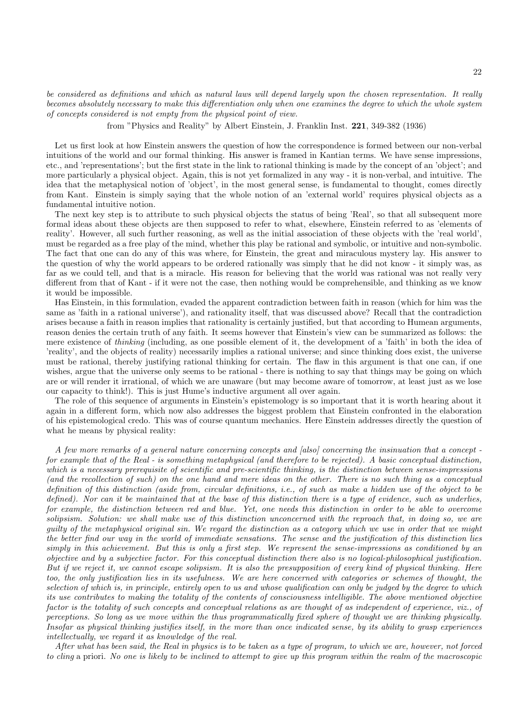be considered as definitions and which as natural laws will depend largely upon the chosen representation. It really becomes absolutely necessary to make this differentiation only when one examines the degree to which the whole system of concepts considered is not empty from the physical point of view.

from "Physics and Reality" by Albert Einstein, J. Franklin Inst. 221, 349-382 (1936)

Let us first look at how Einstein answers the question of how the correspondence is formed between our non-verbal intuitions of the world and our formal thinking. His answer is framed in Kantian terms. We have sense impressions, etc., and 'representations'; but the first state in the link to rational thinking is made by the concept of an 'object'; and more particularly a physical object. Again, this is not yet formalized in any way - it is non-verbal, and intuitive. The idea that the metaphysical notion of 'object', in the most general sense, is fundamental to thought, comes directly from Kant. Einstein is simply saying that the whole notion of an 'external world' requires physical objects as a fundamental intuitive notion.

The next key step is to attribute to such physical objects the status of being 'Real', so that all subsequent more formal ideas about these objects are then supposed to refer to what, elsewhere, Einstein referred to as 'elements of reality'. However, all such further reasoning, as well as the initial association of these objects with the 'real world', must be regarded as a free play of the mind, whether this play be rational and symbolic, or intuitive and non-symbolic. The fact that one can do any of this was where, for Einstein, the great and miraculous mystery lay. His answer to the question of why the world appears to be ordered rationally was simply that he did not know - it simply was, as far as we could tell, and that is a miracle. His reason for believing that the world was rational was not really very different from that of Kant - if it were not the case, then nothing would be comprehensible, and thinking as we know it would be impossible.

Has Einstein, in this formulation, evaded the apparent contradiction between faith in reason (which for him was the same as 'faith in a rational universe'), and rationality itself, that was discussed above? Recall that the contradiction arises because a faith in reason implies that rationality is certainly justified, but that according to Humean arguments, reason denies the certain truth of any faith. It seems however that Einstein's view can be summarized as follows: the mere existence of thinking (including, as one possible element of it, the development of a 'faith' in both the idea of 'reality', and the objects of reality) necessarily implies a rational universe; and since thinking does exist, the universe must be rational, thereby justifying rational thinking for certain. The flaw in this argument is that one can, if one wishes, argue that the universe only seems to be rational - there is nothing to say that things may be going on which are or will render it irrational, of which we are unaware (but may become aware of tomorrow, at least just as we lose our capacity to think!). This is just Hume's inductive argument all over again.

The role of this sequence of arguments in Einstein's epistemology is so important that it is worth hearing about it again in a different form, which now also addresses the biggest problem that Einstein confronted in the elaboration of his epistemological credo. This was of course quantum mechanics. Here Einstein addresses directly the question of what he means by physical reality:

A few more remarks of a general nature concerning concepts and [also] concerning the insinuation that a concept for example that of the Real - is something metaphysical (and therefore to be rejected). A basic conceptual distinction, which is a necessary prerequisite of scientific and pre-scientific thinking, is the distinction between sense-impressions (and the recollection of such) on the one hand and mere ideas on the other. There is no such thing as a conceptual definition of this distinction (aside from, circular definitions, i.e., of such as make a hidden use of the object to be defined). Nor can it be maintained that at the base of this distinction there is a type of evidence, such as underlies, for example, the distinction between red and blue. Yet, one needs this distinction in order to be able to overcome solipsism. Solution: we shall make use of this distinction unconcerned with the reproach that, in doing so, we are guilty of the metaphysical original sin. We regard the distinction as a category which we use in order that we might the better find our way in the world of immediate sensations. The sense and the justification of this distinction lies simply in this achievement. But this is only a first step. We represent the sense-impressions as conditioned by an objective and by a subjective factor. For this conceptual distinction there also is no logical-philosophical justification. But if we reject it, we cannot escape solipsism. It is also the presupposition of every kind of physical thinking. Here too, the only justification lies in its usefulness. We are here concerned with categories or schemes of thought, the selection of which is, in principle, entirely open to us and whose qualification can only be judged by the degree to which its use contributes to making the totality of the contents of consciousness intelligible. The above mentioned objective factor is the totality of such concepts and conceptual relations as are thought of as independent of experience, viz., of perceptions. So long as we move within the thus programmatically fixed sphere of thought we are thinking physically. Insofar as physical thinking justifies itself, in the more than once indicated sense, by its ability to grasp experiences intellectually, we regard it as knowledge of the real.

After what has been said, the Real in physics is to be taken as a type of program, to which we are, however, not forced to cling a priori. No one is likely to be inclined to attempt to give up this program within the realm of the macroscopic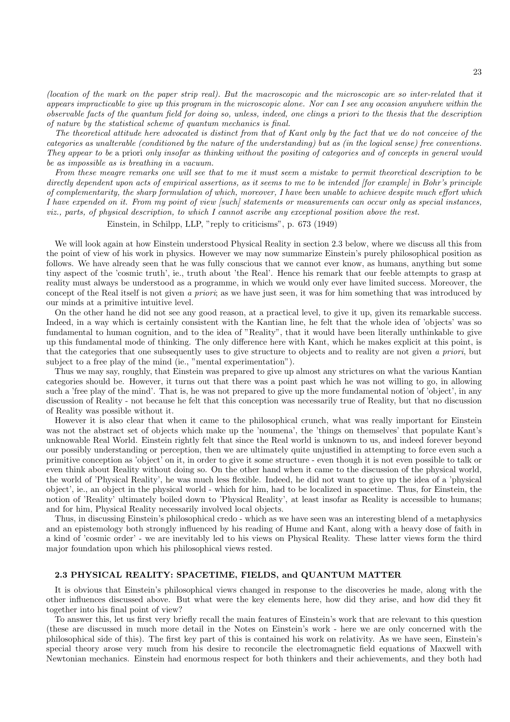(location of the mark on the paper strip real). But the macroscopic and the microscopic are so inter-related that it appears impracticable to give up this program in the microscopic alone. Nor can I see any occasion anywhere within the observable facts of the quantum field for doing so, unless, indeed, one clings a priori to the thesis that the description of nature by the statistical scheme of quantum mechanics is final.

The theoretical attitude here advocated is distinct from that of Kant only by the fact that we do not conceive of the categories as unalterable (conditioned by the nature of the understanding) but as (in the logical sense) free conventions. They appear to be a priori only insofar as thinking without the positing of categories and of concepts in general would be as impossible as is breathing in a vacuum.

From these meagre remarks one will see that to me it must seem a mistake to permit theoretical description to be directly dependent upon acts of empirical assertions, as it seems to me to be intended [for example] in Bohr's principle of complementarity, the sharp formulation of which, moreover, I have been unable to achieve despite much effort which I have expended on it. From my point of view [such] statements or measurements can occur only as special instances, viz., parts, of physical description, to which I cannot ascribe any exceptional position above the rest.

Einstein, in Schilpp, LLP, "reply to criticisms", p. 673 (1949)

We will look again at how Einstein understood Physical Reality in section 2.3 below, where we discuss all this from the point of view of his work in physics. However we may now summarize Einstein's purely philosophical position as follows. We have already seen that he was fully conscious that we cannot ever know, as humans, anything but some tiny aspect of the 'cosmic truth', ie., truth about 'the Real'. Hence his remark that our feeble attempts to grasp at reality must always be understood as a programme, in which we would only ever have limited success. Moreover, the concept of the Real itself is not given a priori; as we have just seen, it was for him something that was introduced by our minds at a primitive intuitive level.

On the other hand he did not see any good reason, at a practical level, to give it up, given its remarkable success. Indeed, in a way which is certainly consistent with the Kantian line, he felt that the whole idea of 'objects' was so fundamental to human cognition, and to the idea of "Reality", that it would have been literally unthinkable to give up this fundamental mode of thinking. The only difference here with Kant, which he makes explicit at this point, is that the categories that one subsequently uses to give structure to objects and to reality are not given a priori, but subject to a free play of the mind (ie., "mental experimentation").

Thus we may say, roughly, that Einstein was prepared to give up almost any strictures on what the various Kantian categories should be. However, it turns out that there was a point past which he was not willing to go, in allowing such a 'free play of the mind'. That is, he was not prepared to give up the more fundamental notion of 'object', in any discussion of Reality - not because he felt that this conception was necessarily true of Reality, but that no discussion of Reality was possible without it.

However it is also clear that when it came to the philosophical crunch, what was really important for Einstein was not the abstract set of objects which make up the 'noumena', the 'things on themselves' that populate Kant's unknowable Real World. Einstein rightly felt that since the Real world is unknown to us, and indeed forever beyond our possibly understanding or perception, then we are ultimately quite unjustified in attempting to force even such a primitive conception as 'object' on it, in order to give it some structure - even though it is not even possible to talk or even think about Reality without doing so. On the other hand when it came to the discussion of the physical world, the world of 'Physical Reality', he was much less flexible. Indeed, he did not want to give up the idea of a 'physical object', ie., an object in the physical world - which for him, had to be localized in spacetime. Thus, for Einstein, the notion of 'Reality' ultimately boiled down to 'Physical Reality', at least insofar as Reality is accessible to humans; and for him, Physical Reality necessarily involved local objects.

Thus, in discussing Einstein's philosophical credo - which as we have seen was an interesting blend of a metaphysics and an epistemology both strongly influenced by his reading of Hume and Kant, along with a heavy dose of faith in a kind of 'cosmic order' - we are inevitably led to his views on Physical Reality. These latter views form the third major foundation upon which his philosophical views rested.

## 2.3 PHYSICAL REALITY: SPACETIME, FIELDS, and QUANTUM MATTER

It is obvious that Einstein's philosophical views changed in response to the discoveries he made, along with the other influences discussed above. But what were the key elements here, how did they arise, and how did they fit together into his final point of view?

To answer this, let us first very briefly recall the main features of Einstein's work that are relevant to this question (these are discussed in much more detail in the Notes on Einstein's work - here we are only concerned with the philosophical side of this). The first key part of this is contained his work on relativity. As we have seen, Einstein's special theory arose very much from his desire to reconcile the electromagnetic field equations of Maxwell with Newtonian mechanics. Einstein had enormous respect for both thinkers and their achievements, and they both had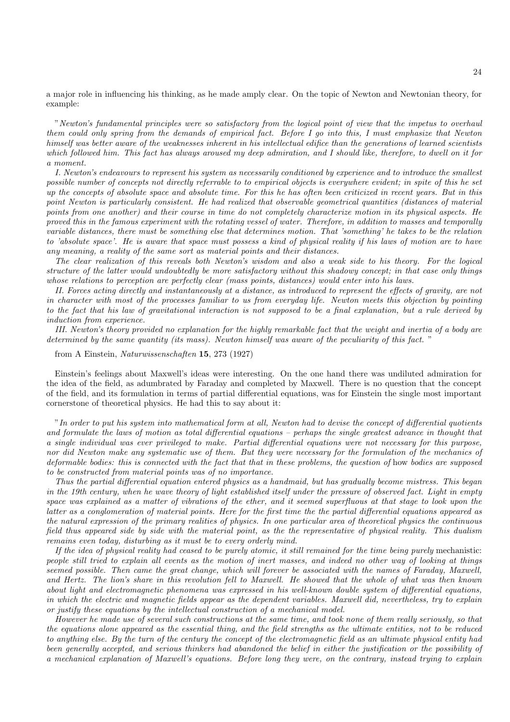a major role in influencing his thinking, as he made amply clear. On the topic of Newton and Newtonian theory, for example:

"Newton's fundamental principles were so satisfactory from the logical point of view that the impetus to overhaul them could only spring from the demands of empirical fact. Before I go into this, I must emphasize that Newton himself was better aware of the weaknesses inherent in his intellectual edifice than the generations of learned scientists which followed him. This fact has always aroused my deep admiration, and I should like, therefore, to dwell on it for a moment.

I. Newton's endeavours to represent his system as necessarily conditioned by experience and to introduce the smallest possible number of concepts not directly referrable to to empirical objects is everywhere evident; in spite of this he set up the concepts of absolute space and absolute time. For this he has often been criticized in recent years. But in this point Newton is particularly consistent. He had realized that observable geometrical quantities (distances of material points from one another) and their course in time do not completely characterize motion in its physical aspects. He proved this in the famous experiment with the rotating vessel of water. Therefore, in addition to masses and temporally variable distances, there must be something else that determines motion. That 'something' he takes to be the relation to 'absolute space'. He is aware that space must possess a kind of physical reality if his laws of motion are to have any meaning, a reality of the same sort as material points and their distances.

The clear realization of this reveals both Newton's wisdom and also a weak side to his theory. For the logical structure of the latter would undoubtedly be more satisfactory without this shadowy concept; in that case only things whose relations to perception are perfectly clear (mass points, distances) would enter into his laws.

II. Forces acting directly and instantaneously at a distance, as introduced to represent the effects of gravity, are not in character with most of the processes familiar to us from everyday life. Newton meets this objection by pointing to the fact that his law of gravitational interaction is not supposed to be a final explanation, but a rule derived by induction from experience.

III. Newton's theory provided no explanation for the highly remarkable fact that the weight and inertia of a body are determined by the same quantity (its mass). Newton himself was aware of the peculiarity of this fact. "

from A Einstein, Naturwissenschaften 15, 273 (1927)

Einstein's feelings about Maxwell's ideas were interesting. On the one hand there was undiluted admiration for the idea of the field, as adumbrated by Faraday and completed by Maxwell. There is no question that the concept of the field, and its formulation in terms of partial differential equations, was for Einstein the single most important cornerstone of theoretical physics. He had this to say about it:

"In order to put his system into mathematical form at all, Newton had to devise the concept of differential quotients and formulate the laws of motion as total differential equations – perhaps the single greatest advance in thought that a single individual was ever privileged to make. Partial differential equations were not necessary for this purpose, nor did Newton make any systematic use of them. But they were necessary for the formulation of the mechanics of deformable bodies: this is connected with the fact that that in these problems, the question of how bodies are supposed to be constructed from material points was of no importance.

Thus the partial differential equation entered physics as a handmaid, but has gradually become mistress. This began in the 19th century, when he wave theory of light established itself under the pressure of observed fact. Light in empty space was explained as a matter of vibrations of the ether, and it seemed superfluous at that stage to look upon the latter as a conglomeration of material points. Here for the first time the the partial differential equations appeared as the natural expression of the primary realities of physics. In one particular area of theoretical physics the continuous field thus appeared side by side with the material point, as the the representative of physical reality. This dualism remains even today, disturbing as it must be to every orderly mind.

If the idea of physical reality had ceased to be purely atomic, it still remained for the time being purely mechanistic: people still tried to explain all events as the motion of inert masses, and indeed no other way of looking at things seemed possible. Then came the great change, which will forever be associated with the names of Faraday, Maxwell, and Hertz. The lion's share in this revolution fell to Maxwell. He showed that the whole of what was then known about light and electromagnetic phenomena was expressed in his well-known double system of differential equations, in which the electric and magnetic fields appear as the dependent variables. Maxwell did, nevertheless, try to explain or justify these equations by the intellectual construction of a mechanical model.

However he made use of several such constructions at the same time, and took none of them really seriously, so that the equations alone appeared as the essential thing, and the field strengths as the ultimate entities, not to be reduced to anything else. By the turn of the century the concept of the electromagnetic field as an ultimate physical entity had been generally accepted, and serious thinkers had abandoned the belief in either the justification or the possibility of a mechanical explanation of Maxwell's equations. Before long they were, on the contrary, instead trying to explain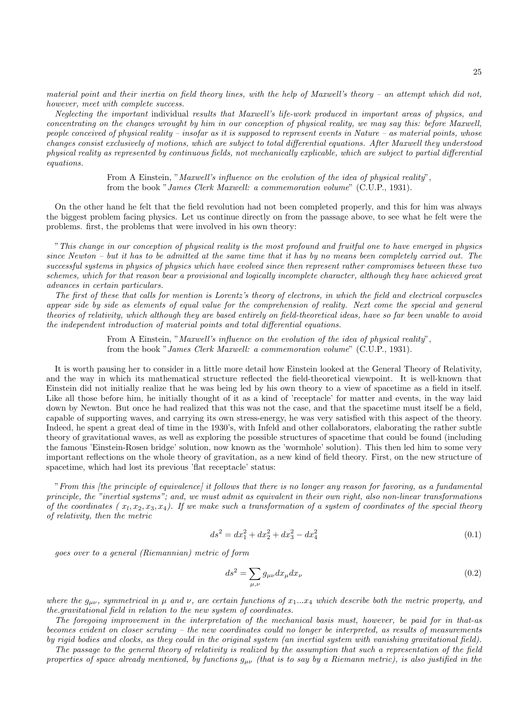material point and their inertia on field theory lines, with the help of Maxwell's theory – an attempt which did not, however, meet with complete success.

Neglecting the important individual results that Maxwell's life-work produced in important areas of physics, and concentrating on the changes wrought by him in our conception of physical reality, we may say this: before Maxwell, people conceived of physical reality – insofar as it is supposed to represent events in Nature – as material points, whose changes consist exclusively of motions, which are subject to total differential equations. After Maxwell they understood physical reality as represented by continuous fields, not mechanically explicable, which are subject to partial differential equations.

> From A Einstein, "Maxwell's influence on the evolution of the idea of physical reality", from the book "James Clerk Maxwell: a commemoration volume" (C.U.P., 1931).

On the other hand he felt that the field revolution had not been completed properly, and this for him was always the biggest problem facing physics. Let us continue directly on from the passage above, to see what he felt were the problems. first, the problems that were involved in his own theory:

"This change in our conception of physical reality is the most profound and fruitful one to have emerged in physics since Newton – but it has to be admitted at the same time that it has by no means been completely carried out. The successful systems in physics of physics which have evolved since then represent rather compromises between these two schemes, which for that reason bear a provisional and logically incomplete character, although they have achieved great advances in certain particulars.

The first of these that calls for mention is Lorentz's theory of electrons, in which the field and electrical corpuscles appear side by side as elements of equal value for the comprehension of reality. Next come the special and general theories of relativity, which although they are based entirely on field-theoretical ideas, have so far been unable to avoid the independent introduction of material points and total differential equations.

> From A Einstein, "Maxwell's influence on the evolution of the idea of physical reality", from the book "James Clerk Maxwell: a commemoration volume" (C.U.P., 1931).

It is worth pausing her to consider in a little more detail how Einstein looked at the General Theory of Relativity, and the way in which its mathematical structure reflected the field-theoretical viewpoint. It is well-known that Einstein did not initially realize that he was being led by his own theory to a view of spacetime as a field in itself. Like all those before him, he initially thought of it as a kind of 'receptacle' for matter and events, in the way laid down by Newton. But once he had realized that this was not the case, and that the spacetime must itself be a field, capable of supporting waves, and carrying its own stress-energy, he was very satisfied with this aspect of the theory. Indeed, he spent a great deal of time in the 1930's, with Infeld and other collaborators, elaborating the rather subtle theory of gravitational waves, as well as exploring the possible structures of spacetime that could be found (including the famous 'Einstein-Rosen bridge' solution, now known as the 'wormhole' solution). This then led him to some very important reflections on the whole theory of gravitation, as a new kind of field theory. First, on the new structure of spacetime, which had lost its previous 'flat receptacle' status:

"From this [the principle of equivalence] it follows that there is no longer any reason for favoring, as a fundamental principle, the "inertial systems"; and, we must admit as equivalent in their own right, also non-linear transformations of the coordinates  $(x_1, x_2, x_3, x_4)$ . If we make such a transformation of a system of coordinates of the special theory of relativity, then the metric

$$
ds^2 = dx_1^2 + dx_2^2 + dx_3^2 - dx_4^2 \tag{0.1}
$$

goes over to a general (Riemannian) metric of form

$$
ds^2 = \sum_{\mu,\nu} g_{\mu\nu} dx_{\mu} dx_{\nu}
$$
\n(0.2)

where the  $g_{\mu\nu}$ , symmetrical in  $\mu$  and  $\nu$ , are certain functions of  $x_1...x_4$  which describe both the metric property, and the.gravitational field in relation to the new system of coordinates.

The foregoing improvement in the interpretation of the mechanical basis must, however, be paid for in that-as becomes evident on closer scrutiny – the new coordinates could no longer be interpreted, as results of measurements by rigid bodies and clocks, as they could in the original system (an inertial system with vanishing gravitational field).

The passage to the general theory of relativity is realized by the assumption that such a representation of the field properties of space already mentioned, by functions  $g_{\mu\nu}$  (that is to say by a Riemann metric), is also justified in the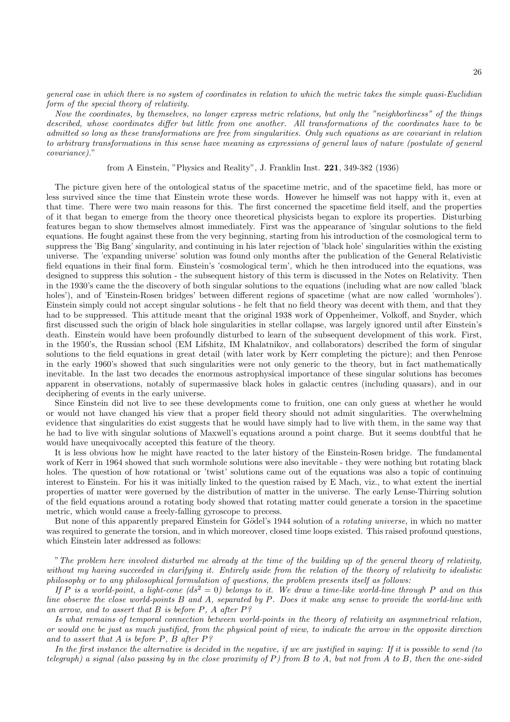general case in which there is no system of coordinates in relation to which the metric takes the simple quasi-Euclidian form of the special theory of relativity.

Now the coordinates, by themselves, no longer express metric relations, but only the "neighborliness" of the things described, whose coordinates differ but little from one another. All transformations of the coordinates have to be admitted so long as these transformations are free from singularities. Only such equations as are covariant in relation to arbitrary transformations in this sense have meaning as expressions of general laws of nature (postulate of general covariance)."

from A Einstein, "Physics and Reality", J. Franklin Inst. 221, 349-382 (1936)

The picture given here of the ontological status of the spacetime metric, and of the spacetime field, has more or less survived since the time that Einstein wrote these words. However he himself was not happy with it, even at that time. There were two main reasons for this. The first concerned the spacetime field itself, and the properties of it that began to emerge from the theory once theoretical physicists began to explore its properties. Disturbing features began to show themselves almost immediately. First was the appearance of 'singular solutions to the field equations. He fought against these from the very beginning, starting from his introduction of the cosmological term to suppress the 'Big Bang' singularity, and continuing in his later rejection of 'black hole' singularities within the existing universe. The 'expanding universe' solution was found only months after the publication of the General Relativistic field equations in their final form. Einstein's 'cosmological term', which he then introduced into the equations, was designed to suppress this solution - the subsequent history of this term is discussed in the Notes on Relativity. Then in the 1930's came the the discovery of both singular solutions to the equations (including what are now called 'black holes'), and of 'Einstein-Rosen bridges' between different regions of spacetime (what are now called 'wormholes'). Einstein simply could not accept singular solutions - he felt that no field theory was decent with them, and that they had to be suppressed. This attitude meant that the original 1938 work of Oppenheimer, Volkoff, and Snyder, which first discussed such the origin of black hole singularities in stellar collapse, was largely ignored until after Einstein's death. Einstein would have been profoundly disturbed to learn of the subsequent development of this work. First, in the 1950's, the Russian school (EM Lifshitz, IM Khalatnikov, and collaborators) described the form of singular solutions to the field equations in great detail (with later work by Kerr completing the picture); and then Penrose in the early 1960's showed that such singularities were not only generic to the theory, but in fact mathematically inevitable. In the last two decades the enormous astrophysical importance of these singular solutions has becomes apparent in observations, notably of supermassive black holes in galactic centres (including quasars), and in our deciphering of events in the early universe.

Since Einstein did not live to see these developments come to fruition, one can only guess at whether he would or would not have changed his view that a proper field theory should not admit singularities. The overwhelming evidence that singularities do exist suggests that he would have simply had to live with them, in the same way that he had to live with singular solutions of Maxwell's equations around a point charge. But it seems doubtful that he would have unequivocally accepted this feature of the theory.

It is less obvious how he might have reacted to the later history of the Einstein-Rosen bridge. The fundamental work of Kerr in 1964 showed that such wormhole solutions were also inevitable - they were nothing but rotating black holes. The question of how rotational or 'twist' solutions came out of the equations was also a topic of continuing interest to Einstein. For his it was initially linked to the question raised by E Mach, viz., to what extent the inertial properties of matter were governed by the distribution of matter in the universe. The early Lense-Thirring solution of the field equations around a rotating body showed that rotating matter could generate a torsion in the spacetime metric, which would cause a freely-falling gyroscope to precess.

But none of this apparently prepared Einstein for Gödel's 1944 solution of a *rotating universe*, in which no matter was required to generate the torsion, and in which moreover, closed time loops existed. This raised profound questions, which Einstein later addressed as follows:

"The problem here involved disturbed me already at the time of the building up of the general theory of relativity, without my having succeeded in clarifying it. Entirely aside from the relation of the theory of relativity to idealistic philosophy or to any philosophical formulation of questions, the problem presents itself as follows:

If P is a world-point, a light-cone  $(ds^2 = 0)$  belongs to it. We draw a time-like world-line through P and on this line observe the close world-points B and A, separated by P. Does it make any sense to provide the world-line with an arrow, and to assert that  $B$  is before  $P$ ,  $A$  after  $P$ ?

Is what remains of temporal connection between world-points in the theory of relativity an asymmetrical relation, or would one be just as much justified, from the physical point of view, to indicate the arrow in the opposite direction and to assert that A is before  $P$ , B after  $P$ ?

In the first instance the alternative is decided in the negative, if we are justified in saying: If it is possible to send (to telegraph) a signal (also passing by in the close proximity of  $P$ ) from  $B$  to  $A$ , but not from  $A$  to  $B$ , then the one-sided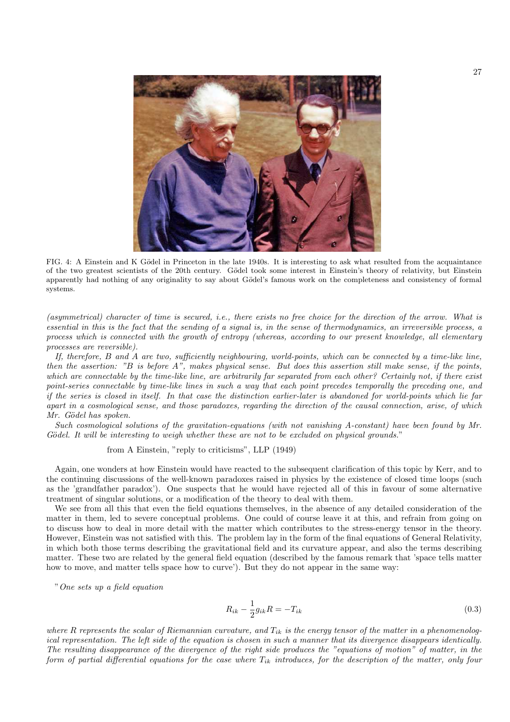

FIG. 4: A Einstein and K Gödel in Princeton in the late 1940s. It is interesting to ask what resulted from the acquaintance of the two greatest scientists of the 20th century. Gödel took some interest in Einstein's theory of relativity, but Einstein apparently had nothing of any originality to say about Gödel's famous work on the completeness and consistency of formal systems.

(asymmetrical) character of time is secured, i.e., there exists no free choice for the direction of the arrow. What is essential in this is the fact that the sending of a signal is, in the sense of thermodynamics, an irreversible process, a process which is connected with the growth of entropy (whereas, according to our present knowledge, all elementary processes are reversible).

If, therefore,  $B$  and  $A$  are two, sufficiently neighbouring, world-points, which can be connected by a time-like line, then the assertion: "B is before A", makes physical sense. But does this assertion still make sense, if the points, which are connectable by the time-like line, are arbitrarily far separated from each other? Certainly not, if there exist point-series connectable by time-like lines in such a way that each point precedes temporally the preceding one, and if the series is closed in itself. In that case the distinction earlier-later is abandoned for world-points which lie far apart in a cosmological sense, and those paradoxes, regarding the direction of the causal connection, arise, of which Mr. Gödel has spoken.

Such cosmological solutions of the gravitation-equations (with not vanishing A-constant) have been found by Mr. Gödel. It will be interesting to weigh whether these are not to be excluded on physical grounds."

### from A Einstein, "reply to criticisms", LLP (1949)

Again, one wonders at how Einstein would have reacted to the subsequent clarification of this topic by Kerr, and to the continuing discussions of the well-known paradoxes raised in physics by the existence of closed time loops (such as the 'grandfather paradox'). One suspects that he would have rejected all of this in favour of some alternative treatment of singular solutions, or a modification of the theory to deal with them.

We see from all this that even the field equations themselves, in the absence of any detailed consideration of the matter in them, led to severe conceptual problems. One could of course leave it at this, and refrain from going on to discuss how to deal in more detail with the matter which contributes to the stress-energy tensor in the theory. However, Einstein was not satisfied with this. The problem lay in the form of the final equations of General Relativity, in which both those terms describing the gravitational field and its curvature appear, and also the terms describing matter. These two are related by the general field equation (described by the famous remark that 'space tells matter how to move, and matter tells space how to curve'). But they do not appear in the same way:

"One sets up a field equation

$$
R_{ik} - \frac{1}{2}g_{ik}R = -T_{ik} \tag{0.3}
$$

where R represents the scalar of Riemannian curvature, and  $T_{ik}$  is the energy tensor of the matter in a phenomenological representation. The left side of the equation is chosen in such a manner that its divergence disappears identically. The resulting disappearance of the divergence of the right side produces the "equations of motion" of matter, in the form of partial differential equations for the case where  $T_{ik}$  introduces, for the description of the matter, only four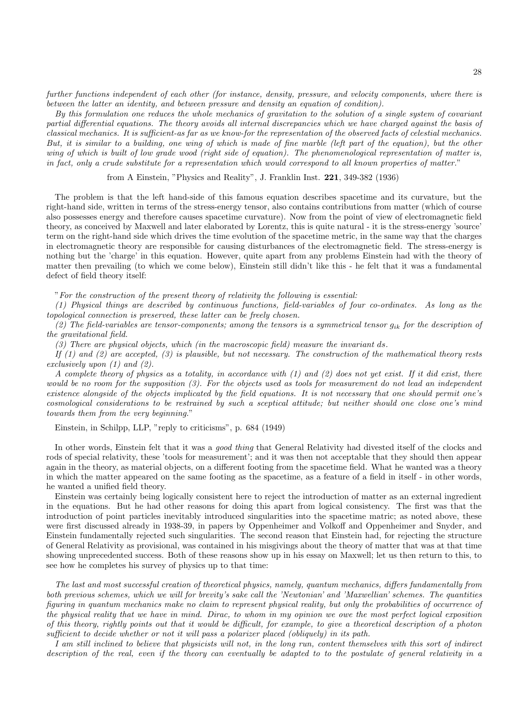further functions independent of each other (for instance, density, pressure, and velocity components, where there is between the latter an identity, and between pressure and density an equation of condition).

By this formulation one reduces the whole mechanics of gravitation to the solution of a single system of covariant partial differential equations. The theory avoids all internal discrepancies which we have charged against the basis of classical mechanics. It is sufficient-as far as we know-for the representation of the observed facts of celestial mechanics. But, it is similar to a building, one wing of which is made of fine marble (left part of the equation), but the other wing of which is built of low grade wood (right side of equation). The phenomenological representation of matter is, in fact, only a crude substitute for a representation which would correspond to all known properties of matter."

from A Einstein, "Physics and Reality", J. Franklin Inst. 221, 349-382 (1936)

The problem is that the left hand-side of this famous equation describes spacetime and its curvature, but the right-hand side, written in terms of the stress-energy tensor, also contains contributions from matter (which of course also possesses energy and therefore causes spacetime curvature). Now from the point of view of electromagnetic field theory, as conceived by Maxwell and later elaborated by Lorentz, this is quite natural - it is the stress-energy 'source' term on the right-hand side which drives the time evolution of the spacetime metric, in the same way that the charges in electromagnetic theory are responsible for causing disturbances of the electromagnetic field. The stress-energy is nothing but the 'charge' in this equation. However, quite apart from any problems Einstein had with the theory of matter then prevailing (to which we come below), Einstein still didn't like this - he felt that it was a fundamental defect of field theory itself:

"For the construction of the present theory of relativity the following is essential:

(1) Physical things are described by continuous functions, field-variables of four co-ordinates. As long as the topological connection is preserved, these latter can be freely chosen.

(2) The field-variables are tensor-components; among the tensors is a symmetrical tensor  $g_{ik}$  for the description of the gravitational field.

(3) There are physical objects, which (in the macroscopic field) measure the invariant ds.

If  $(1)$  and  $(2)$  are accepted,  $(3)$  is plausible, but not necessary. The construction of the mathematical theory rests exclusively upon  $(1)$  and  $(2)$ .

A complete theory of physics as a totality, in accordance with  $(1)$  and  $(2)$  does not yet exist. If it did exist, there would be no room for the supposition (3). For the objects used as tools for measurement do not lead an independent existence alongside of the objects implicated by the field equations. It is not necessary that one should permit one's cosmological considerations to be restrained by such a sceptical attitude; but neither should one close one's mind towards them from the very beginning."

Einstein, in Schilpp, LLP, "reply to criticisms", p. 684 (1949)

In other words, Einstein felt that it was a *good thing* that General Relativity had divested itself of the clocks and rods of special relativity, these 'tools for measurement'; and it was then not acceptable that they should then appear again in the theory, as material objects, on a different footing from the spacetime field. What he wanted was a theory in which the matter appeared on the same footing as the spacetime, as a feature of a field in itself - in other words, he wanted a unified field theory.

Einstein was certainly being logically consistent here to reject the introduction of matter as an external ingredient in the equations. But he had other reasons for doing this apart from logical consistency. The first was that the introduction of point particles inevitably introduced singularities into the spacetime matric; as noted above, these were first discussed already in 1938-39, in papers by Oppenheimer and Volkoff and Oppenheimer and Snyder, and Einstein fundamentally rejected such singularities. The second reason that Einstein had, for rejecting the structure of General Relativity as provisional, was contained in his misgivings about the theory of matter that was at that time showing unprecedented success. Both of these reasons show up in his essay on Maxwell; let us then return to this, to see how he completes his survey of physics up to that time:

The last and most successful creation of theoretical physics, namely, quantum mechanics, differs fundamentally from both previous schemes, which we will for brevity's sake call the 'Newtonian' and 'Maxwellian' schemes. The quantities figuring in quantum mechanics make no claim to represent physical reality, but only the probabilities of occurrence of the physical reality that we have in mind. Dirac, to whom in my opinion we owe the most perfect logical exposition of this theory, rightly points out that it would be difficult, for example, to give a theoretical description of a photon sufficient to decide whether or not it will pass a polarizer placed (obliquely) in its path.

I am still inclined to believe that physicists will not, in the long run, content themselves with this sort of indirect description of the real, even if the theory can eventually be adapted to to the postulate of general relativity in a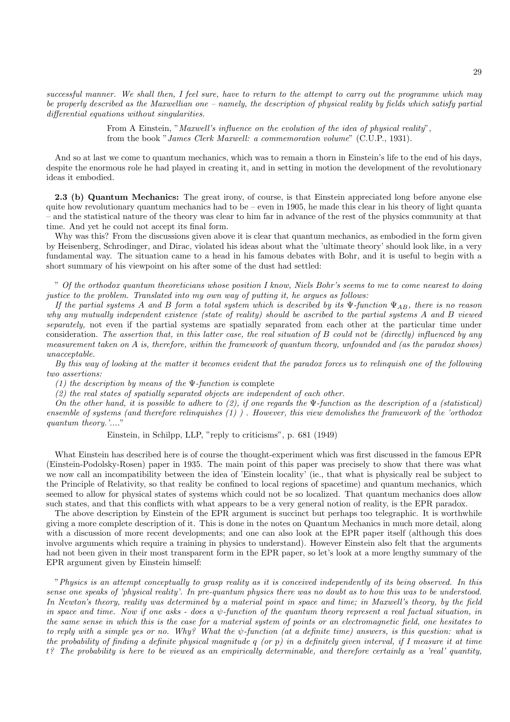successful manner. We shall then, I feel sure, have to return to the attempt to carry out the programme which may be properly described as the Maxwellian one – namely, the description of physical reality by fields which satisfy partial differential equations without singularities.

> From A Einstein, "Maxwell's influence on the evolution of the idea of physical reality". from the book "James Clerk Maxwell: a commemoration volume" (C.U.P., 1931).

And so at last we come to quantum mechanics, which was to remain a thorn in Einstein's life to the end of his days, despite the enormous role he had played in creating it, and in setting in motion the development of the revolutionary ideas it embodied.

2.3 (b) Quantum Mechanics: The great irony, of course, is that Einstein appreciated long before anyone else quite how revolutionary quantum mechanics had to be – even in 1905, he made this clear in his theory of light quanta – and the statistical nature of the theory was clear to him far in advance of the rest of the physics community at that time. And yet he could not accept its final form.

Why was this? From the discussions given above it is clear that quantum mechanics, as embodied in the form given by Heisenberg, Schrodinger, and Dirac, violated his ideas about what the 'ultimate theory' should look like, in a very fundamental way. The situation came to a head in his famous debates with Bohr, and it is useful to begin with a short summary of his viewpoint on his after some of the dust had settled:

" Of the orthodox quantum theoreticians whose position I know, Niels Bohr's seems to me to come nearest to doing justice to the problem. Translated into my own way of putting it, he argues as follows:

If the partial systems A and B form a total system which is described by its  $\Psi$ -function  $\Psi_{AB}$ , there is no reason why any mutually independent existence (state of reality) should be ascribed to the partial systems A and B viewed separately, not even if the partial systems are spatially separated from each other at the particular time under consideration. The assertion that, in this latter case, the real situation of B could not be (directly) influenced by any measurement taken on A is, therefore, within the framework of quantum theory, unfounded and (as the paradox shows) unacceptable.

By this way of looking at the matter it becomes evident that the paradox forces us to relinquish one of the following two assertions:

(1) the description by means of the  $\Psi$ -function is complete

(2) the real states of spatially separated objects are independent of each other.

On the other hand, it is possible to adhere to  $(2)$ , if one regards the  $\Psi$ -function as the description of a (statistical) ensemble of systems (and therefore relinquishes  $(1)$ ). However, this view demolishes the framework of the 'orthodox quantum theory.'...."

Einstein, in Schilpp, LLP, "reply to criticisms", p. 681 (1949)

What Einstein has described here is of course the thought-experiment which was first discussed in the famous EPR (Einstein-Podolsky-Rosen) paper in 1935. The main point of this paper was precisely to show that there was what we now call an incompatibility between the idea of 'Einstein locality' (ie., that what is physically real be subject to the Principle of Relativity, so that reality be confined to local regions of spacetime) and quantum mechanics, which seemed to allow for physical states of systems which could not be so localized. That quantum mechanics does allow such states, and that this conflicts with what appears to be a very general notion of reality, is the EPR paradox.

The above description by Einstein of the EPR argument is succinct but perhaps too telegraphic. It is worthwhile giving a more complete description of it. This is done in the notes on Quantum Mechanics in much more detail, along with a discussion of more recent developments; and one can also look at the EPR paper itself (although this does involve arguments which require a training in physics to understand). However Einstein also felt that the arguments had not been given in their most transparent form in the EPR paper, so let's look at a more lengthy summary of the EPR argument given by Einstein himself:

"Physics is an attempt conceptually to grasp reality as it is conceived independently of its being observed. In this sense one speaks of 'physical reality'. In pre-quantum physics there was no doubt as to how this was to be understood. In Newton's theory, reality was determined by a material point in space and time; in Maxwell's theory, by the field in space and time. Now if one asks - does a  $\psi$ -function of the quantum theory represent a real factual situation, in the same sense in which this is the case for a material system of points or an electromagnetic field, one hesitates to to reply with a simple yes or no. Why? What the  $\psi$ -function (at a definite time) answers, is this question: what is the probability of finding a definite physical magnitude  $q$  (or  $p$ ) in a definitely given interval, if I measure it at time  $t$ ? The probability is here to be viewed as an empirically determinable, and therefore certainly as a 'real' quantity,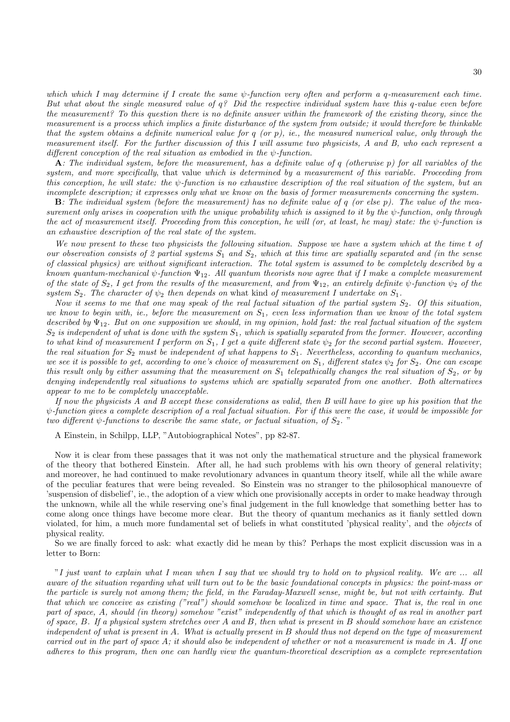which which I may determine if I create the same  $\psi$ -function very often and perform a q-measurement each time. But what about the single measured value of q? Did the respective individual system have this q-value even before the measurement? To this question there is no definite answer within the framework of the existing theory, since the measurement is a process which implies a finite disturbance of the system from outside; it would therefore be thinkable that the system obtains a definite numerical value for  $q$  (or  $p$ ), ie., the measured numerical value, only through the measurement itself. For the further discussion of this I will assume two physicists, A and B, who each represent a different conception of the real situation as embodied in the  $\psi$ -function.

A: The individual system, before the measurement, has a definite value of  $q$  (otherwise  $p$ ) for all variables of the system, and more specifically, that value which is determined by a measurement of this variable. Proceeding from this conception, he will state: the  $\psi$ -function is no exhaustive description of the real situation of the system, but an incomplete description; it expresses only what we know on the basis of former measurements concerning the system.

**B**: The individual system (before the measurement) has no definite value of q (or else p). The value of the measurement only arises in cooperation with the unique probability which is assigned to it by the ψ-function, only through the act of measurement itself. Proceeding from this conception, he will (or, at least, he may) state: the  $\psi$ -function is an exhaustive description of the real state of the system.

We now present to these two physicists the following situation. Suppose we have a system which at the time t of our observation consists of 2 partial systems  $S_1$  and  $S_2$ , which at this time are spatially separated and (in the sense of classical physics) are without significant interaction. The total system is assumed to be completely described by a known quantum-mechanical  $\psi$ -function  $\Psi_{12}$ . All quantum theorists now agree that if I make a complete measurement of the state of  $S_2$ , I get from the results of the measurement, and from  $\Psi_{12}$ , an entirely definite  $\psi$ -function  $\psi_2$  of the system  $S_2$ . The character of  $\psi_2$  then depends on what kind of measurement I undertake on  $S_1$ .

Now it seems to me that one may speak of the real factual situation of the partial system  $S_2$ . Of this situation, we know to begin with, ie., before the measurement on  $S_1$ , even less information than we know of the total system described by  $\Psi_{12}$ . But on one supposition we should, in my opinion, hold fast: the real factual situation of the system  $S_2$  is independent of what is done with the system  $S_1$ , which is spatially separated from the former. However, according to what kind of measurement I perform on  $S_1$ , I get a quite different state  $\psi_2$  for the second partial system. However, the real situation for  $S_2$  must be independent of what happens to  $S_1$ . Nevertheless, according to quantum mechanics, we see it is possible to get, according to one's choice of measurement on  $S_1$ , different states  $\psi_2$  for  $S_2$ . One can escape this result only by either assuming that the measurement on  $S_1$  telepathically changes the real situation of  $S_2$ , or by denying independently real situations to systems which are spatially separated from one another. Both alternatives appear to me to be completely unacceptable.

If now the physicists A and B accept these considerations as valid, then B will have to give up his position that the  $\psi$ -function gives a complete description of a real factual situation. For if this were the case, it would be impossible for two different  $\psi$ -functions to describe the same state, or factual situation, of  $S_2$ ."

A Einstein, in Schilpp, LLP, "Autobiographical Notes", pp 82-87.

Now it is clear from these passages that it was not only the mathematical structure and the physical framework of the theory that bothered Einstein. After all, he had such problems with his own theory of general relativity; and moreover, he had continued to make revolutionary advances in quantum theory itself, while all the while aware of the peculiar features that were being revealed. So Einstein was no stranger to the philosophical manouevre of 'suspension of disbelief', ie., the adoption of a view which one provisionally accepts in order to make headway through the unknown, while all the while reserving one's final judgement in the full knowledge that something better has to come along once things have become more clear. But the theory of quantum mechanics as it fianly settled down violated, for him, a much more fundamental set of beliefs in what constituted 'physical reality', and the objects of physical reality.

So we are finally forced to ask: what exactly did he mean by this? Perhaps the most explicit discussion was in a letter to Born:

"I just want to explain what I mean when I say that we should try to hold on to physical reality. We are ... all aware of the situation regarding what will turn out to be the basic foundational concepts in physics: the point-mass or the particle is surely not among them; the field, in the Faraday-Maxwell sense, might be, but not with certainty. But that which we conceive as existing ("real") should somehow be localized in time and space. That is, the real in one part of space, A, should (in theory) somehow "exist" independently of that which is thought of as real in another part of space,  $B$ . If a physical system stretches over A and B, then what is present in B should somehow have an existence independent of what is present in A. What is actually present in B should thus not depend on the type of measurement carried out in the part of space  $A$ ; it should also be independent of whether or not a measurement is made in  $A$ . If one adheres to this program, then one can hardly view the quantum-theoretical description as a complete representation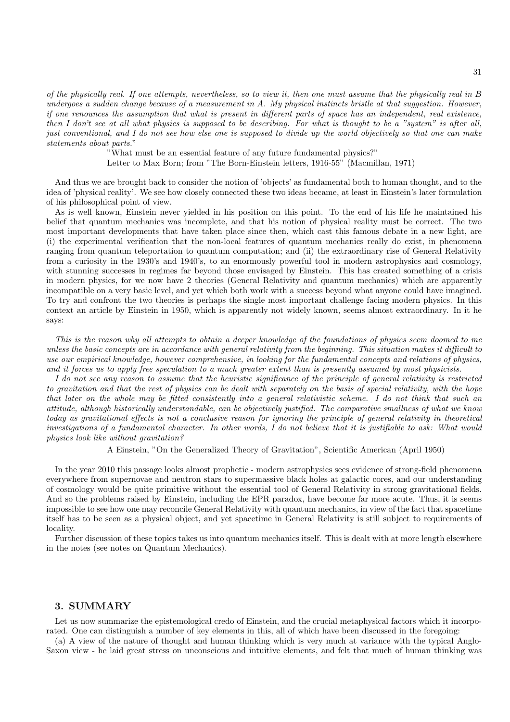of the physically real. If one attempts, nevertheless, so to view it, then one must assume that the physically real in B undergoes a sudden change because of a measurement in A. My physical instincts bristle at that suggestion. However, if one renounces the assumption that what is present in different parts of space has an independent, real existence, then I don't see at all what physics is supposed to be describing. For what is thought to be a "system" is after all, just conventional, and I do not see how else one is supposed to divide up the world objectively so that one can make statements about parts."

"What must be an essential feature of any future fundamental physics?"

Letter to Max Born; from "The Born-Einstein letters, 1916-55" (Macmillan, 1971)

And thus we are brought back to consider the notion of 'objects' as fundamental both to human thought, and to the idea of 'physical reality'. We see how closely connected these two ideas became, at least in Einstein's later formulation of his philosophical point of view.

As is well known, Einstein never yielded in his position on this point. To the end of his life he maintained his belief that quantum mechanics was incomplete, and that his notion of physical reality must be correct. The two most important developments that have taken place since then, which cast this famous debate in a new light, are (i) the experimental verification that the non-local features of quantum mechanics really do exist, in phenomena ranging from quantum teleportation to quantum computation; and (ii) the extraordinary rise of General Relativity from a curiosity in the 1930's and 1940's, to an enormously powerful tool in modern astrophysics and cosmology, with stunning successes in regimes far beyond those envisaged by Einstein. This has created something of a crisis in modern physics, for we now have 2 theories (General Relativity and quantum mechanics) which are apparently incompatible on a very basic level, and yet which both work with a success beyond what anyone could have imagined. To try and confront the two theories is perhaps the single most important challenge facing modern physics. In this context an article by Einstein in 1950, which is apparently not widely known, seems almost extraordinary. In it he says:

This is the reason why all attempts to obtain a deeper knowledge of the foundations of physics seem doomed to me unless the basic concepts are in accordance with general relativity from the beginning. This situation makes it difficult to use our empirical knowledge, however comprehensive, in looking for the fundamental concepts and relations of physics, and it forces us to apply free speculation to a much greater extent than is presently assumed by most physicists.

I do not see any reason to assume that the heuristic significance of the principle of general relativity is restricted to gravitation and that the rest of physics can be dealt with separately on the basis of special relativity, with the hope that later on the whole may be fitted consistently into a general relativistic scheme. I do not think that such an attitude, although historically understandable, can be objectively justified. The comparative smallness of what we know today as gravitational effects is not a conclusive reason for ignoring the principle of general relativity in theoretical investigations of a fundamental character. In other words, I do not believe that it is justifiable to ask: What would physics look like without gravitation?

A Einstein, "On the Generalized Theory of Gravitation", Scientific American (April 1950)

In the year 2010 this passage looks almost prophetic - modern astrophysics sees evidence of strong-field phenomena everywhere from supernovae and neutron stars to supermassive black holes at galactic cores, and our understanding of cosmology would be quite primitive without the essential tool of General Relativity in strong gravitational fields. And so the problems raised by Einstein, including the EPR paradox, have become far more acute. Thus, it is seems impossible to see how one may reconcile General Relativity with quantum mechanics, in view of the fact that spacetime itself has to be seen as a physical object, and yet spacetime in General Relativity is still subject to requirements of locality.

Further discussion of these topics takes us into quantum mechanics itself. This is dealt with at more length elsewhere in the notes (see notes on Quantum Mechanics).

# 3. SUMMARY

Let us now summarize the epistemological credo of Einstein, and the crucial metaphysical factors which it incorporated. One can distinguish a number of key elements in this, all of which have been discussed in the foregoing:

(a) A view of the nature of thought and human thinking which is very much at variance with the typical Anglo-Saxon view - he laid great stress on unconscious and intuitive elements, and felt that much of human thinking was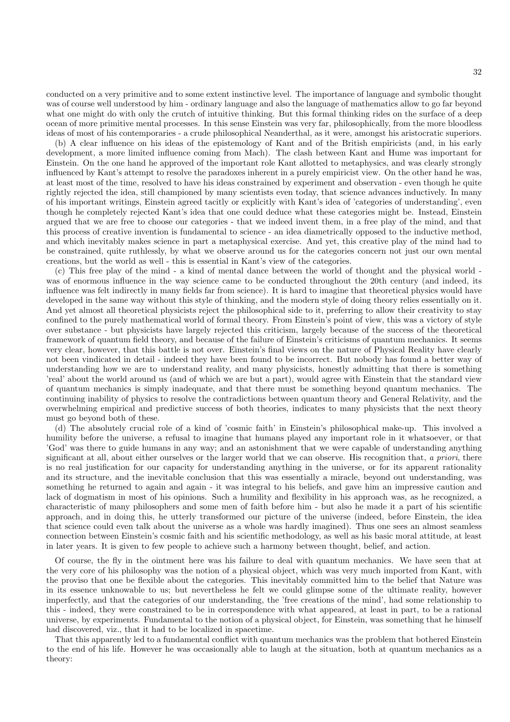conducted on a very primitive and to some extent instinctive level. The importance of language and symbolic thought was of course well understood by him - ordinary language and also the language of mathematics allow to go far beyond what one might do with only the crutch of intuitive thinking. But this formal thinking rides on the surface of a deep ocean of more primitive mental processes. In this sense Einstein was very far, philosophically, from the more bloodless ideas of most of his contemporaries - a crude philosophical Neanderthal, as it were, amongst his aristocratic superiors.

(b) A clear influence on his ideas of the epistemology of Kant and of the British empiricists (and, in his early development, a more limited influence coming from Mach). The clash between Kant and Hume was important for Einstein. On the one hand he approved of the important role Kant allotted to metaphysics, and was clearly strongly influenced by Kant's attempt to resolve the paradoxes inherent in a purely empiricist view. On the other hand he was, at least most of the time, resolved to have his ideas constrained by experiment and observation - even though he quite rightly rejected the idea, still championed by many scientists even today, that science advances inductively. In many of his important writings, Einstein agreed tacitly or explicitly with Kant's idea of 'categories of understanding', even though he completely rejected Kant's idea that one could deduce what these categories might be. Instead, Einstein argued that we are free to choose our categories - that we indeed invent them, in a free play of the mind, and that this process of creative invention is fundamental to science - an idea diametrically opposed to the inductive method, and which inevitably makes science in part a metaphysical exercise. And yet, this creative play of the mind had to be constrained, quite ruthlessly, by what we observe around us for the categories concern not just our own mental creations, but the world as well - this is essential in Kant's view of the categories.

(c) This free play of the mind - a kind of mental dance between the world of thought and the physical world was of enormous influence in the way science came to be conducted throughout the 20th century (and indeed, its influence was felt indirectly in many fields far from science). It is hard to imagine that theoretical physics would have developed in the same way without this style of thinking, and the modern style of doing theory relies essentially on it. And yet almost all theoretical physicists reject the philosophical side to it, preferring to allow their creativity to stay confined to the purely mathematical world of formal theory. From Einstein's point of view, this was a victory of style over substance - but physicists have largely rejected this criticism, largely because of the success of the theoretical framework of quantum field theory, and because of the failure of Einstein's criticisms of quantum mechanics. It seems very clear, however, that this battle is not over. Einstein's final views on the nature of Physical Reality have clearly not been vindicated in detail - indeed they have been found to be incorrect. But nobody has found a better way of understanding how we are to understand reality, and many physicists, honestly admitting that there is something 'real' about the world around us (and of which we are but a part), would agree with Einstein that the standard view of quantum mechanics is simply inadequate, and that there must be something beyond quantum mechanics. The continuing inability of physics to resolve the contradictions between quantum theory and General Relativity, and the overwhelming empirical and predictive success of both theories, indicates to many physicists that the next theory must go beyond both of these.

(d) The absolutely crucial role of a kind of 'cosmic faith' in Einstein's philosophical make-up. This involved a humility before the universe, a refusal to imagine that humans played any important role in it whatsoever, or that 'God' was there to guide humans in any way; and an astonishment that we were capable of understanding anything significant at all, about either ourselves or the larger world that we can observe. His recognition that, a priori, there is no real justification for our capacity for understanding anything in the universe, or for its apparent rationality and its structure, and the inevitable conclusion that this was essentially a miracle, beyond out understanding, was something he returned to again and again - it was integral to his beliefs, and gave him an impressive caution and lack of dogmatism in most of his opinions. Such a humility and flexibility in his approach was, as he recognized, a characteristic of many philosophers and some men of faith before him - but also he made it a part of his scientific approach, and in doing this, he utterly transformed our picture of the universe (indeed, before Einstein, the idea that science could even talk about the universe as a whole was hardly imagined). Thus one sees an almost seamless connection between Einstein's cosmic faith and his scientific methodology, as well as his basic moral attitude, at least in later years. It is given to few people to achieve such a harmony between thought, belief, and action.

Of course, the fly in the ointment here was his failure to deal with quantum mechanics. We have seen that at the very core of his philosophy was the notion of a physical object, which was very much imported from Kant, with the proviso that one be flexible about the categories. This inevitably committed him to the belief that Nature was in its essence unknowable to us; but nevertheless he felt we could glimpse some of the ultimate reality, however imperfectly, and that the categories of our understanding, the 'free creations of the mind', had some relationship to this - indeed, they were constrained to be in correspondence with what appeared, at least in part, to be a rational universe, by experiments. Fundamental to the notion of a physical object, for Einstein, was something that he himself had discovered, viz., that it had to be localized in spacetime.

That this apparently led to a fundamental conflict with quantum mechanics was the problem that bothered Einstein to the end of his life. However he was occasionally able to laugh at the situation, both at quantum mechanics as a theory: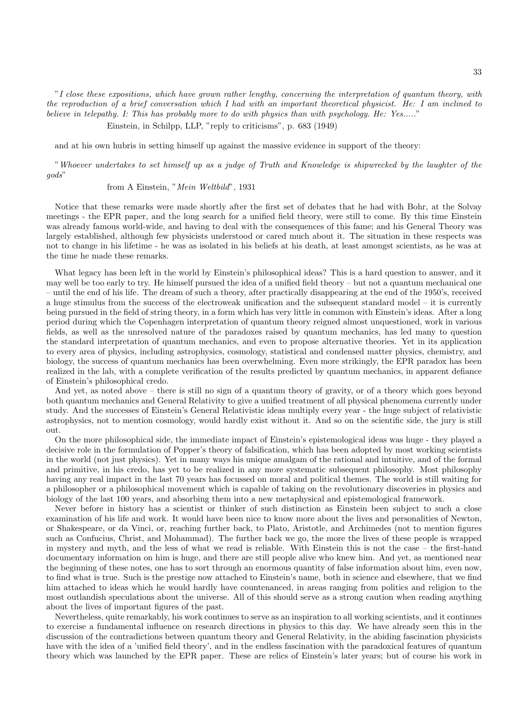"I close these expositions, which have grown rather lengthy, concerning the interpretation of quantum theory, with the reproduction of a brief conversation which I had with an important theoretical physicist. He: I am inclined to believe in telepathy. I: This has probably more to do with physics than with psychology. He: Yes....."

Einstein, in Schilpp, LLP, "reply to criticisms", p. 683 (1949)

and at his own hubris in setting himself up against the massive evidence in support of the theory:

"Whoever undertakes to set himself up as a judge of Truth and Knowledge is shipwrecked by the laughter of the gods"

from A Einstein, "Mein Weltbild", 1931

Notice that these remarks were made shortly after the first set of debates that he had with Bohr, at the Solvay meetings - the EPR paper, and the long search for a unified field theory, were still to come. By this time Einstein was already famous world-wide, and having to deal with the consequences of this fame; and his General Theory was largely established, although few physicists understood or cared much about it. The situation in these respects was not to change in his lifetime - he was as isolated in his beliefs at his death, at least amongst scientists, as he was at the time he made these remarks.

What legacy has been left in the world by Einstein's philosophical ideas? This is a hard question to answer, and it may well be too early to try. He himself pursued the idea of a unified field theory – but not a quantum mechanical one – until the end of his life. The dream of such a theory, after practically disappearing at the end of the 1950's, received a huge stimulus from the success of the electroweak unification and the subsequent standard model – it is currently being pursued in the field of string theory, in a form which has very little in common with Einstein's ideas. After a long period during which the Copenhagen interpretation of quantum theory reigned almost unquestioned, work in various fields, as well as the unresolved nature of the paradoxes raised by quantum mechanics, has led many to question the standard interpretation of quantum mechanics, and even to propose alternative theories. Yet in its application to every area of physics, including astrophysics, cosmology, statistical and condensed matter physics, chemistry, and biology, the success of quantum mechanics has been overwhelming. Even more strikingly, the EPR paradox has been realized in the lab, with a complete verification of the results predicted by quantum mechanics, in apparent defiance of Einstein's philosophical credo.

And yet, as noted above – there is still no sign of a quantum theory of gravity, or of a theory which goes beyond both quantum mechanics and General Relativity to give a unified treatment of all physical phenomena currently under study. And the successes of Einstein's General Relativistic ideas multiply every year - the huge subject of relativistic astrophysics, not to mention cosmology, would hardly exist without it. And so on the scientific side, the jury is still out.

On the more philosophical side, the immediate impact of Einstein's epistemological ideas was huge - they played a decisive role in the formulation of Popper's theory of falsification, which has been adopted by most working scientists in the world (not just physics). Yet in many ways his unique amalgam of the rational and intuitive, and of the formal and primitive, in his credo, has yet to be realized in any more systematic subsequent philosophy. Most philosophy having any real impact in the last 70 years has focussed on moral and political themes. The world is still waiting for a philosopher or a philosophical movement which is capable of taking on the revolutionary discoveries in physics and biology of the last 100 years, and absorbing them into a new metaphysical and epistemological framework.

Never before in history has a scientist or thinker of such distinction as Einstein been subject to such a close examination of his life and work. It would have been nice to know more about the lives and personalities of Newton, or Shakespeare, or da Vinci, or, reaching further back, to Plato, Aristotle, and Archimedes (not to mention figures such as Confucius, Christ, and Mohammad). The further back we go, the more the lives of these people is wrapped in mystery and myth, and the less of what we read is reliable. With Einstein this is not the case – the first-hand documentary information on him is huge, and there are still people alive who knew him. And yet, as mentioned near the beginning of these notes, one has to sort through an enormous quantity of false information about him, even now, to find what is true. Such is the prestige now attached to Einstein's name, both in science and elsewhere, that we find him attached to ideas which he would hardly have countenanced, in areas ranging from politics and religion to the most outlandish speculations about the universe. All of this should serve as a strong caution when reading anything about the lives of important figures of the past.

Nevertheless, quite remarkably, his work continues to serve as an inspiration to all working scientists, and it continues to exercise a fundamental influence on research directions in physics to this day. We have already seen this in the discussion of the contradictions between quantum theory and General Relativity, in the abiding fascination physicists have with the idea of a 'unified field theory', and in the endless fascination with the paradoxical features of quantum theory which was launched by the EPR paper. These are relics of Einstein's later years; but of course his work in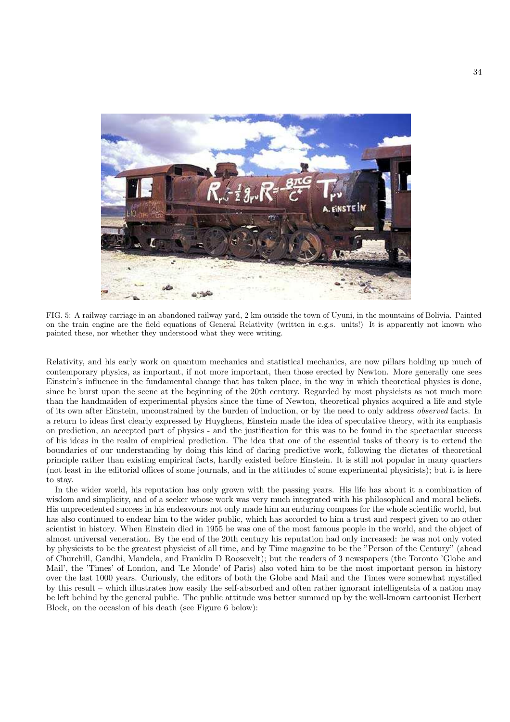

FIG. 5: A railway carriage in an abandoned railway yard, 2 km outside the town of Uyuni, in the mountains of Bolivia. Painted on the train engine are the field equations of General Relativity (written in c.g.s. units!) It is apparently not known who painted these, nor whether they understood what they were writing.

Relativity, and his early work on quantum mechanics and statistical mechanics, are now pillars holding up much of contemporary physics, as important, if not more important, then those erected by Newton. More generally one sees Einstein's influence in the fundamental change that has taken place, in the way in which theoretical physics is done, since he burst upon the scene at the beginning of the 20th century. Regarded by most physicists as not much more than the handmaiden of experimental physics since the time of Newton, theoretical physics acquired a life and style of its own after Einstein, unconstrained by the burden of induction, or by the need to only address observed facts. In a return to ideas first clearly expressed by Huyghens, Einstein made the idea of speculative theory, with its emphasis on prediction, an accepted part of physics - and the justification for this was to be found in the spectacular success of his ideas in the realm of empirical prediction. The idea that one of the essential tasks of theory is to extend the boundaries of our understanding by doing this kind of daring predictive work, following the dictates of theoretical principle rather than existing empirical facts, hardly existed before Einstein. It is still not popular in many quarters (not least in the editorial offices of some journals, and in the attitudes of some experimental physicists); but it is here to stay.

In the wider world, his reputation has only grown with the passing years. His life has about it a combination of wisdom and simplicity, and of a seeker whose work was very much integrated with his philosophical and moral beliefs. His unprecedented success in his endeavours not only made him an enduring compass for the whole scientific world, but has also continued to endear him to the wider public, which has accorded to him a trust and respect given to no other scientist in history. When Einstein died in 1955 he was one of the most famous people in the world, and the object of almost universal veneration. By the end of the 20th century his reputation had only increased: he was not only voted by physicists to be the greatest physicist of all time, and by Time magazine to be the "Person of the Century" (ahead of Churchill, Gandhi, Mandela, and Franklin D Roosevelt); but the readers of 3 newspapers (the Toronto 'Globe and Mail', the 'Times' of London, and 'Le Monde' of Paris) also voted him to be the most important person in history over the last 1000 years. Curiously, the editors of both the Globe and Mail and the Times were somewhat mystified by this result – which illustrates how easily the self-absorbed and often rather ignorant intelligentsia of a nation may be left behind by the general public. The public attitude was better summed up by the well-known cartoonist Herbert Block, on the occasion of his death (see Figure 6 below):